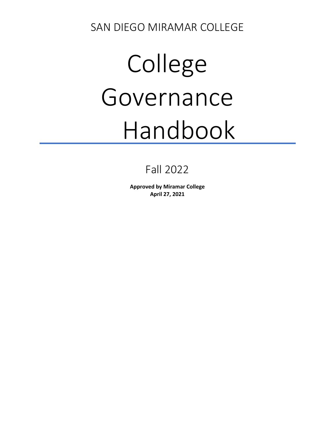SAN DIEGO MIRAMAR COLLEGE

# College Governance Handbook

# Fall 2022

**Approved by Miramar College April 27, 2021**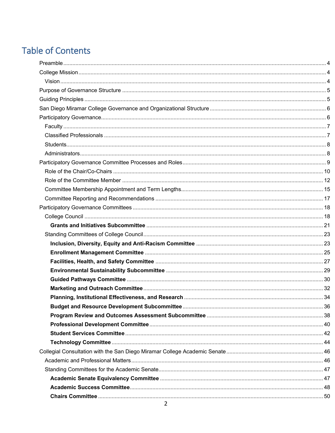# **Table of Contents**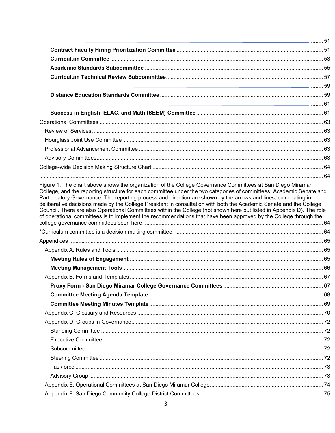| Participatory Governance. The reporting process and direction are shown by the arrows and lines, culminating in<br>deliberative decisions made by the College President in consultation with both the Academic Senate and the College<br>Council. There are also Operational Committees within the College (not shown here but listed in Appendix D). The role<br>of operational committees is to implement the recommendations that have been approved by the College through the |  |
|------------------------------------------------------------------------------------------------------------------------------------------------------------------------------------------------------------------------------------------------------------------------------------------------------------------------------------------------------------------------------------------------------------------------------------------------------------------------------------|--|
|                                                                                                                                                                                                                                                                                                                                                                                                                                                                                    |  |
|                                                                                                                                                                                                                                                                                                                                                                                                                                                                                    |  |
|                                                                                                                                                                                                                                                                                                                                                                                                                                                                                    |  |
|                                                                                                                                                                                                                                                                                                                                                                                                                                                                                    |  |
|                                                                                                                                                                                                                                                                                                                                                                                                                                                                                    |  |
|                                                                                                                                                                                                                                                                                                                                                                                                                                                                                    |  |
|                                                                                                                                                                                                                                                                                                                                                                                                                                                                                    |  |
|                                                                                                                                                                                                                                                                                                                                                                                                                                                                                    |  |
|                                                                                                                                                                                                                                                                                                                                                                                                                                                                                    |  |
|                                                                                                                                                                                                                                                                                                                                                                                                                                                                                    |  |
|                                                                                                                                                                                                                                                                                                                                                                                                                                                                                    |  |
|                                                                                                                                                                                                                                                                                                                                                                                                                                                                                    |  |
|                                                                                                                                                                                                                                                                                                                                                                                                                                                                                    |  |
|                                                                                                                                                                                                                                                                                                                                                                                                                                                                                    |  |
|                                                                                                                                                                                                                                                                                                                                                                                                                                                                                    |  |
|                                                                                                                                                                                                                                                                                                                                                                                                                                                                                    |  |
|                                                                                                                                                                                                                                                                                                                                                                                                                                                                                    |  |
|                                                                                                                                                                                                                                                                                                                                                                                                                                                                                    |  |
|                                                                                                                                                                                                                                                                                                                                                                                                                                                                                    |  |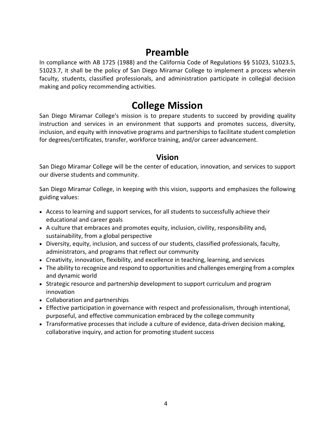# **Preamble**

<span id="page-3-0"></span>In compliance with AB 1725 (1988) and the California Code of Regulations §§ 51023, 51023.5, 51023.7, it shall be the policy of San Diego Miramar College to implement a process wherein faculty, students, classified professionals, and administration participate in collegial decision making and policy recommending activities.

## **College Mission**

<span id="page-3-1"></span>San Diego Miramar College's mission is to prepare students to succeed by providing quality instruction and services in an environment that supports and promotes success, diversity, inclusion, and equity with innovative programs and partnerships to facilitate student completion for degrees/certificates, transfer, workforce training, and/or career advancement.

## **Vision**

<span id="page-3-2"></span>San Diego Miramar College will be the center of education, innovation, and services to support our diverse students and community.

San Diego Miramar College, in keeping with this vision, supports and emphasizes the following guiding values:

- Access to learning and support services, for all students to successfully achieve their educational and career goals
- A culture that embraces and promotes equity, inclusion, civility, responsibility and, sustainability, from a global perspective
- Diversity, equity, inclusion, and success of our students, classified professionals, faculty, administrators, and programs that reflect our community
- Creativity, innovation, flexibility, and excellence in teaching, learning, and services
- The ability to recognize and respond to opportunities and challenges emerging from a complex and dynamic world
- Strategic resource and partnership development to support curriculum and program innovation
- Collaboration and partnerships
- Effective participation in governance with respect and professionalism, through intentional, purposeful, and effective communication embraced by the college community
- Transformative processes that include a culture of evidence, data-driven decision making, collaborative inquiry, and action for promoting student success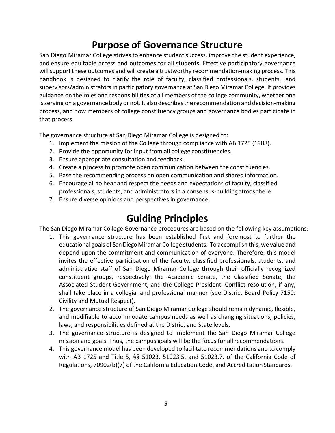# **Purpose of Governance Structure**

<span id="page-4-0"></span>San Diego Miramar College strives to enhance student success, improve the student experience, and ensure equitable access and outcomes for all students. Effective participatory governance will support these outcomes and will create a trustworthy recommendation-making process. This handbook is designed to clarify the role of faculty, classified professionals, students, and supervisors/administrators in participatory governance at San Diego Miramar College. It provides guidance on the roles and responsibilities of all members of the college community, whether one isserving on a governance body or not. It also describesthe recommendation and decision-making process, and how members of college constituency groups and governance bodies participate in that process.

The governance structure at San Diego Miramar College is designed to:

- 1. Implement the mission of the College through compliance with AB 1725 (1988).
- 2. Provide the opportunity for input from all college constituencies.
- 3. Ensure appropriate consultation and feedback.
- 4. Create a process to promote open communication between the constituencies.
- 5. Base the recommending process on open communication and shared information.
- 6. Encourage all to hear and respect the needs and expectations of faculty, classified professionals, students, and administrators in a consensus-buildingatmosphere.
- 7. Ensure diverse opinions and perspectives in governance.

# **Guiding Principles**

<span id="page-4-1"></span>The San Diego Miramar College Governance procedures are based on the following key assumptions:

- 1. This governance structure has been established first and foremost to further the educational goals of San Diego Miramar College students. To accomplish this, we value and depend upon the commitment and communication of everyone. Therefore, this model invites the effective participation of the faculty, classified professionals, students, and administrative staff of San Diego Miramar College through their officially recognized constituent groups, respectively: the Academic Senate, the Classified Senate, the Associated Student Government, and the College President. Conflict resolution, if any, shall take place in a collegial and professional manner (see District Board Policy 7150: Civility and Mutual Respect).
- 2. The governance structure of San Diego Miramar College should remain dynamic, flexible, and modifiable to accommodate campus needs as well as changing situations, policies, laws, and responsibilities defined at the District and State levels.
- 3. The governance structure is designed to implement the San Diego Miramar College mission and goals. Thus, the campus goals will be the focus for allrecommendations.
- 4. This governance model has been developed to facilitate recommendations and to comply with AB 1725 and Title 5, §§ 51023, 51023.5, and 51023.7, of the California Code of Regulations, 70902(b)(7) of the California Education Code, and Accreditation Standards.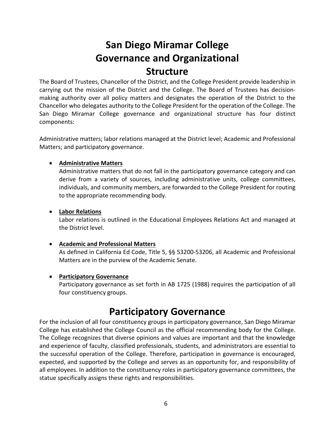# **San Diego Miramar College Governance and Organizational Structure**

<span id="page-5-0"></span>The Board of Trustees, Chancellor of the District, and the College President provide leadership in carrying out the mission of the District and the College. The Board of Trustees has decisionmaking authority over all policy matters and designates the operation of the District to the Chancellor who delegates authority to the College President for the operation of the College. The San Diego Miramar College governance and organizational structure has four distinct components:

Administrative matters; labor relations managed at the District level; Academic and Professional Matters; and participatory governance.

## • **Administrative Matters**

Administrative matters that do not fall in the participatory governance category and can derive from a variety of sources, including administrative units, college committees, individuals, and community members, are forwarded to the College President for routing to the appropriate recommending body.

## • **Labor Relations**

Labor relations is outlined in the Educational Employees Relations Act and managed at the District level.

## • **Academic and Professional Matters**

As defined in California Ed Code, Title 5, §§ 53200-53206, all Academic and Professional Matters are in the purview of the Academic Senate.

## • **Participatory Governance**

Participatory governance as set forth in AB 1725 (1988) requires the participation of all four constituency groups.

## **Participatory Governance**

<span id="page-5-1"></span>For the inclusion of all four constituency groups in participatory governance, San Diego Miramar College has established the College Council as the official recommending body for the College. The College recognizes that diverse opinions and values are important and that the knowledge and experience of faculty, classified professionals, students, and administrators are essential to the successful operation of the College. Therefore, participation in governance is encouraged, expected, and supported by the College and serves as an opportunity for, and responsibility of all employees. In addition to the constituency roles in participatory governance committees, the statue specifically assigns these rights and responsibilities.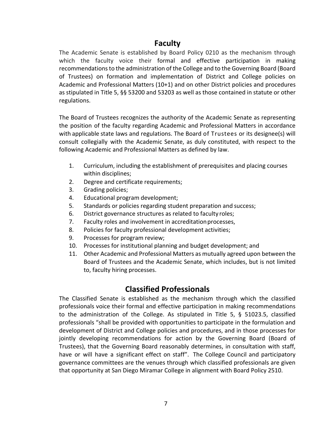## **Faculty**

<span id="page-6-0"></span>The Academic Senate is established by Board Policy 0210 as the mechanism through which the faculty voice their formal and effective participation in making recommendations to the administration of the College and to the Governing Board (Board of Trustees) on formation and implementation of District and College policies on Academic and Professional Matters (10+1) and on other District policies and procedures as stipulated in Title 5, §§ 53200 and 53203 as well as those contained in statute or other regulations.

The Board of Trustees recognizes the authority of the Academic Senate as representing the position of the faculty regarding Academic and Professional Matters in accordance with applicable state laws and regulations. The Board of Trustees or its designee(s) will consult collegially with the Academic Senate, as duly constituted, with respect to the following Academic and Professional Matters as defined by law.

- 1. Curriculum, including the establishment of prerequisites and placing courses within disciplines;
- 2. Degree and certificate requirements;
- 3. Grading policies;
- 4. Educational program development;
- 5. Standards or policies regarding student preparation and success;
- 6. District governance structures as related to faculty roles;
- 7. Faculty roles and involvement in accreditationprocesses,
- 8. Policies for faculty professional development activities;
- 9. Processes for program review;
- 10. Processes for institutional planning and budget development; and
- 11. Other Academic and Professional Matters as mutually agreed upon between the Board of Trustees and the Academic Senate, which includes, but is not limited to, faculty hiring processes.

## **Classified Professionals**

<span id="page-6-1"></span>The Classified Senate is established as the mechanism through which the classified professionals voice their formal and effective participation in making recommendations to the administration of the College. As stipulated in Title 5, § 51023.5, classified professionals "shall be provided with opportunities to participate in the formulation and development of District and College policies and procedures, and in those processes for jointly developing recommendations for action by the Governing Board (Board of Trustees), that the Governing Board reasonably determines, in consultation with staff, have or will have a significant effect on staff". The College Council and participatory governance committees are the venues through which classified professionals are given that opportunity at San Diego Miramar College in alignment with Board Policy 2510.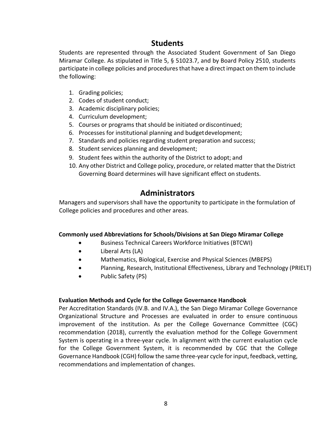## **Students**

<span id="page-7-0"></span>Students are represented through the Associated Student Government of San Diego Miramar College. As stipulated in Title 5, § 51023.7, and by Board Policy 2510, students participate in college policies and procedures that have a direct impact on them to include the following:

- 1. Grading policies;
- 2. Codes of student conduct;
- 3. Academic disciplinary policies;
- 4. Curriculum development;
- 5. Courses or programs that should be initiated ordiscontinued;
- 6. Processes for institutional planning and budgetdevelopment;
- 7. Standards and policies regarding student preparation and success;
- 8. Student services planning and development;
- 9. Student fees within the authority of the District to adopt; and
- 10. Any other District and College policy, procedure, or related matter that the District Governing Board determines will have significant effect on students.

## **Administrators**

<span id="page-7-1"></span>Managers and supervisors shall have the opportunity to participate in the formulation of College policies and procedures and other areas.

## **Commonly used Abbreviations for Schools/Divisions at San Diego Miramar College**

- Business Technical Careers Workforce Initiatives (BTCWI)
- Liberal Arts (LA)
- Mathematics, Biological, Exercise and Physical Sciences (MBEPS)
- Planning, Research, Institutional Effectiveness, Library and Technology (PRIELT)
- Public Safety (PS)

## **Evaluation Methods and Cycle for the College Governance Handbook**

Per Accreditation Standards (IV.B. and IV.A.), the San Diego Miramar College Governance Organizational Structure and Processes are evaluated in order to ensure continuous improvement of the institution. As per the College Governance Committee (CGC) recommendation (2018), currently the evaluation method for the College Government System is operating in a three-year cycle. In alignment with the current evaluation cycle for the College Government System, it is recommended by CGC that the College Governance Handbook (CGH) follow the same three-year cycle for input, feedback, vetting, recommendations and implementation of changes.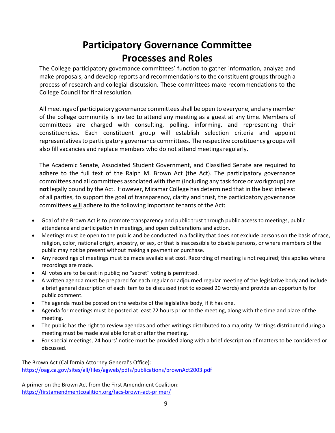# **Participatory Governance Committee Processes and Roles**

<span id="page-8-0"></span>The College participatory governance committees' function to gather information, analyze and make proposals, and develop reports and recommendations to the constituent groups through a process of research and collegial discussion. These committees make recommendations to the College Council for final resolution.

All meetings of participatory governance committeesshall be open to everyone, and any member of the college community is invited to attend any meeting as a guest at any time. Members of committees are charged with consulting, polling, informing, and representing their constituencies. Each constituent group will establish selection criteria and appoint representatives to participatory governance committees. The respective constituency groups will also fill vacancies and replace members who do not attend meetings regularly.

The Academic Senate, Associated Student Government, and Classified Senate are required to adhere to the full text of the Ralph M. Brown Act (the Act). The participatory governance committees and all committees associated with them (including any task force or workgroup) are **not** legally bound by the Act. However, Miramar College has determined that in the best interest of all parties, to support the goal of transparency, clarity and trust, the participatory governance committees will adhere to the following important tenants of the Act:

- Goal of the Brown Act is to promote transparency and public trust through public access to meetings, public attendance and participation in meetings, and open deliberations and action.
- Meetings must be open to the public and be conducted in a facility that does not exclude persons on the basis of race, religion, color, national origin, ancestry, or sex, or that is inaccessible to disable persons, or where members of the public may not be present without making a payment or purchase.
- Any recordings of meetings must be made available at cost. Recording of meeting is not required; this applies where recordings are made.
- All votes are to be cast in public; no "secret" voting is permitted.
- A written agenda must be prepared for each regular or adjourned regular meeting of the legislative body and include a brief general description of each item to be discussed (not to exceed 20 words) and provide an opportunity for public comment.
- The agenda must be posted on the website of the legislative body, if it has one.
- Agenda for meetings must be posted at least 72 hours prior to the meeting, along with the time and place of the meeting.
- The public has the right to review agendas and other writings distributed to a majority. Writings distributed during a meeting must be made available for at or after the meeting.
- For special meetings, 24 hours' notice must be provided along with a brief description of matters to be considered or discussed.

The Brown Act (California Attorney General's Office): <https://oag.ca.gov/sites/all/files/agweb/pdfs/publications/brownAct2003.pdf>

A primer on the Brown Act from the First Amendment Coalition: <https://firstamendmentcoalition.org/facs-brown-act-primer/>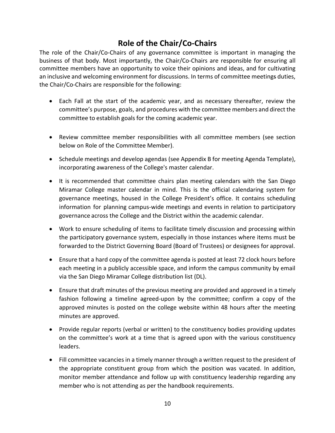## **Role of the Chair/Co-Chairs**

<span id="page-9-0"></span>The role of the Chair/Co-Chairs of any governance committee is important in managing the business of that body. Most importantly, the Chair/Co-Chairs are responsible for ensuring all committee members have an opportunity to voice their opinions and ideas, and for cultivating an inclusive and welcoming environment for discussions. In terms of committee meetings duties, the Chair/Co-Chairs are responsible for the following:

- Each Fall at the start of the academic year, and as necessary thereafter, review the committee's purpose, goals, and procedures with the committee members and direct the committee to establish goals for the coming academic year.
- Review committee member responsibilities with all committee members (see section below on Role of the Committee Member).
- Schedule meetings and develop agendas (see Appendix B for meeting Agenda Template), incorporating awareness of the College's master calendar.
- It is recommended that committee chairs plan meeting calendars with the San Diego Miramar College master calendar in mind. This is the official calendaring system for governance meetings, housed in the College President's office. It contains scheduling information for planning campus-wide meetings and events in relation to participatory governance across the College and the District within the academic calendar.
- Work to ensure scheduling of items to facilitate timely discussion and processing within the participatory governance system, especially in those instances where items must be forwarded to the District Governing Board (Board of Trustees) or designees for approval.
- Ensure that a hard copy of the committee agenda is posted at least 72 clock hours before each meeting in a publicly accessible space, and inform the campus community by email via the San Diego Miramar College distribution list (DL).
- Ensure that draft minutes of the previous meeting are provided and approved in a timely fashion following a timeline agreed-upon by the committee; confirm a copy of the approved minutes is posted on the college website within 48 hours after the meeting minutes are approved.
- Provide regular reports (verbal or written) to the constituency bodies providing updates on the committee's work at a time that is agreed upon with the various constituency leaders.
- Fill committee vacancies in a timely manner through a written request to the president of the appropriate constituent group from which the position was vacated. In addition, monitor member attendance and follow up with constituency leadership regarding any member who is not attending as per the handbook requirements.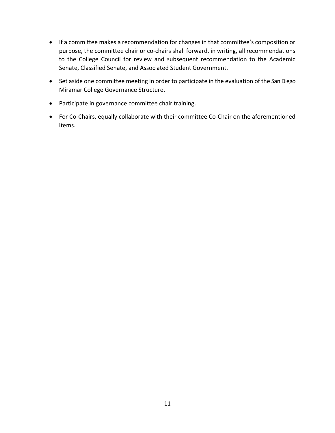- If a committee makes a recommendation for changes in that committee's composition or purpose, the committee chair or co-chairs shall forward, in writing, all recommendations to the College Council for review and subsequent recommendation to the Academic Senate, Classified Senate, and Associated Student Government.
- Set aside one committee meeting in order to participate in the evaluation of the San Diego Miramar College Governance Structure.
- Participate in governance committee chair training.
- For Co-Chairs, equally collaborate with their committee Co-Chair on the aforementioned items.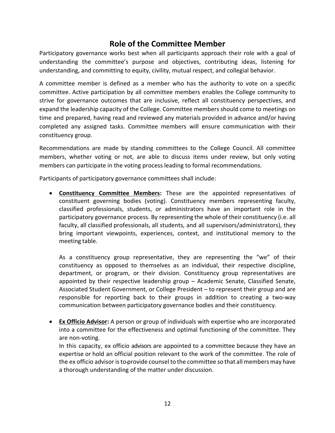## **Role of the Committee Member**

<span id="page-11-0"></span>Participatory governance works best when all participants approach their role with a goal of understanding the committee's purpose and objectives, contributing ideas, listening for understanding, and committing to equity, civility, mutual respect, and collegial behavior.

A committee member is defined as a member who has the authority to vote on a specific committee. Active participation by all committee members enables the College community to strive for governance outcomes that are inclusive, reflect all constituency perspectives, and expand the leadership capacity of the College. Committee members should come to meetings on time and prepared, having read and reviewed any materials provided in advance and/or having completed any assigned tasks. Committee members will ensure communication with their constituency group.

Recommendations are made by standing committees to the College Council. All committee members, whether voting or not, are able to discuss items under review, but only voting members can participate in the voting process leading to formal recommendations.

Participants of participatory governance committees shall include:

• **Constituency Committee Members:** These are the appointed representatives of constituent governing bodies (voting). Constituency members representing faculty, classified professionals, students, or administrators have an important role in the participatory governance process. By representing the whole of their constituency (i.e. all faculty, all classified professionals, all students, and all supervisors/administrators), they bring important viewpoints, experiences, context, and institutional memory to the meeting table.

As a constituency group representative, they are representing the "we" of their constituency as opposed to themselves as an individual, their respective discipline, department, or program, or their division. Constituency group representatives are appointed by their respective leadership group – Academic Senate, Classified Senate, Associated Student Government, or College President – to represent their group and are responsible for reporting back to their groups in addition to creating a two-way communication between participatory governance bodies and their constituency.

• **Ex Officio Advisor:** A person or group of individuals with expertise who are incorporated into a committee for the effectiveness and optimal functioning of the committee. They are non-voting.

In this capacity, ex officio advisors are appointed to a committee because they have an expertise or hold an official position relevant to the work of the committee. The role of the ex officio advisor isto provide counsel to the committee so that all members may have a thorough understanding of the matter under discussion.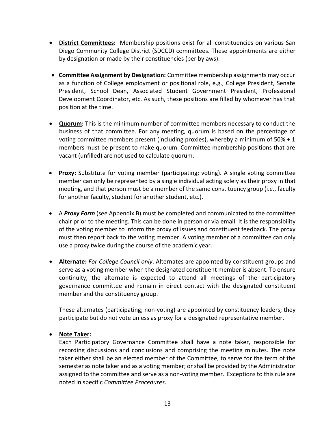- **District Committees:** Membership positions exist for all constituencies on various San Diego Community College District (SDCCD) committees. These appointments are either by designation or made by their constituencies (per bylaws).
- **Committee Assignment by Designation:** Committee membership assignments may occur as a function of College employment or positional role, e.g., College President, Senate President, School Dean, Associated Student Government President, Professional Development Coordinator, etc. As such, these positions are filled by whomever has that position at the time.
- **Quorum:** This is the minimum number of committee members necessary to conduct the business of that committee. For any meeting, quorum is based on the percentage of voting committee members present (including proxies), whereby a minimum of 50% + 1 members must be present to make quorum. Committee membership positions that are vacant (unfilled) are not used to calculate quorum.
- **Proxy:** Substitute for voting member (participating; voting). A single voting committee member can only be represented by a single individual acting solely as their proxy in that meeting, and that person must be a member of the same constituency group (i.e., faculty for another faculty, student for another student, etc.).
- A *Proxy Form* (see Appendix B) must be completed and communicated to the committee chair prior to the meeting. This can be done in person or via email. It is the responsibility of the voting member to inform the proxy of issues and constituent feedback. The proxy must then report back to the voting member. A voting member of a committee can only use a proxy twice during the course of the academic year.
- **Alternate:** *For College Council only*. Alternates are appointed by constituent groups and serve as a voting member when the designated constituent member is absent. To ensure continuity, the alternate is expected to attend all meetings of the participatory governance committee and remain in direct contact with the designated constituent member and the constituency group.

These alternates (participating; non-voting) are appointed by constituency leaders; they participate but do not vote unless as proxy for a designated representative member.

## • **Note Taker:**

Each Participatory Governance Committee shall have a note taker, responsible for recording discussions and conclusions and comprising the meeting minutes. The note taker either shall be an elected member of the Committee, to serve for the term of the semester as note taker and as a voting member; or shall be provided by the Administrator assigned to the committee and serve as a non-voting member. Exceptions to this rule are noted in specific *Committee Procedures*.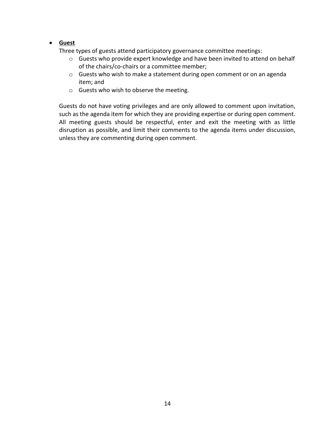## • **Guest**

Three types of guests attend participatory governance committee meetings:

- o Guests who provide expert knowledge and have been invited to attend on behalf of the chairs/co-chairs or a committee member;
- o Guests who wish to make a statement during open comment or on an agenda item; and
- o Guests who wish to observe the meeting.

Guests do not have voting privileges and are only allowed to comment upon invitation, such as the agenda item for which they are providing expertise or during open comment. All meeting guests should be respectful, enter and exit the meeting with as little disruption as possible, and limit their comments to the agenda items under discussion, unless they are commenting during open comment.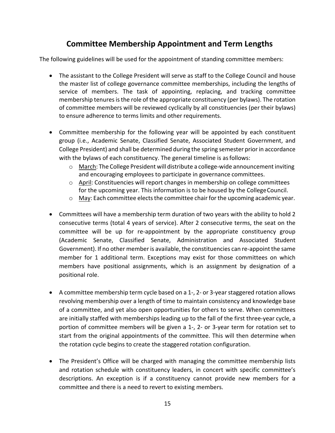## **Committee Membership Appointment and Term Lengths**

<span id="page-14-0"></span>The following guidelines will be used for the appointment of standing committee members:

- The assistant to the College President will serve as staff to the College Council and house the master list of college governance committee memberships, including the lengths of service of members. The task of appointing, replacing, and tracking committee membership tenures is the role of the appropriate constituency (per bylaws). The rotation of committee members will be reviewed cyclically by all constituencies (per their bylaws) to ensure adherence to terms limits and other requirements.
- Committee membership for the following year will be appointed by each constituent group (i.e., Academic Senate, Classified Senate, Associated Student Government, and College President) and shall be determined during the spring semester priorin accordance with the bylaws of each constituency. The general timeline is asfollows:
	- $\circ$  March: The College President will distribute a college-wide announcement inviting and encouraging employees to participate in governance committees.
	- o April: Constituencies will report changes in membership on college committees for the upcoming year. This information is to be housed by the College Council.
	- $\circ$  May: Each committee elects the committee chair for the upcoming academic year.
- Committees will have a membership term duration of two years with the ability to hold 2 consecutive terms (total 4 years of service). After 2 consecutive terms, the seat on the committee will be up for re-appointment by the appropriate constituency group (Academic Senate, Classified Senate, Administration and Associated Student Government). If no other member is available, the constituencies can re-appoint the same member for 1 additional term. Exceptions may exist for those committees on which members have positional assignments, which is an assignment by designation of a positional role.
- A committee membership term cycle based on a 1-, 2- or 3-year staggered rotation allows revolving membership over a length of time to maintain consistency and knowledge base of a committee, and yet also open opportunities for others to serve. When committees are initially staffed with memberships leading up to the fall of the first three-year cycle, a portion of committee members will be given a 1-, 2- or 3-year term for rotation set to start from the original appointments of the committee. This will then determine when the rotation cycle begins to create the staggered rotation configuration.
- The President's Office will be charged with managing the committee membership lists and rotation schedule with constituency leaders, in concert with specific committee's descriptions. An exception is if a constituency cannot provide new members for a committee and there is a need to revert to existing members.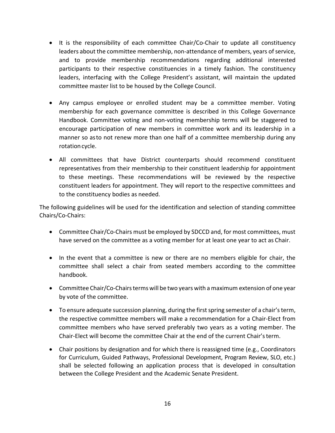- It is the responsibility of each committee Chair/Co-Chair to update all constituency leaders about the committee membership, non-attendance of members, years of service, and to provide membership recommendations regarding additional interested participants to their respective constituencies in a timely fashion. The constituency leaders, interfacing with the College President's assistant, will maintain the updated committee master list to be housed by the College Council.
- Any campus employee or enrolled student may be a committee member. Voting membership for each governance committee is described in this College Governance Handbook. Committee voting and non-voting membership terms will be staggered to encourage participation of new members in committee work and its leadership in a manner so asto not renew more than one half of a committee membership during any rotation cycle.
- All committees that have District counterparts should recommend constituent representatives from their membership to their constituent leadership for appointment to these meetings. These recommendations will be reviewed by the respective constituent leaders for appointment. They will report to the respective committees and to the constituency bodies as needed.

The following guidelines will be used for the identification and selection of standing committee Chairs/Co-Chairs:

- Committee Chair/Co-Chairs must be employed by SDCCD and, for most committees, must have served on the committee as a voting member for at least one year to act as Chair.
- In the event that a committee is new or there are no members eligible for chair, the committee shall select a chair from seated members according to the committee handbook.
- Committee Chair/Co-Chairs terms will be two years with a maximum extension of one year by vote of the committee.
- To ensure adequate succession planning, during the first spring semester of a chair's term, the respective committee members will make a recommendation for a Chair-Elect from committee members who have served preferably two years as a voting member. The Chair-Elect will become the committee Chair at the end of the current Chair'sterm.
- Chair positions by designation and for which there is reassigned time (e.g., Coordinators for Curriculum, Guided Pathways, Professional Development, Program Review, SLO, etc.) shall be selected following an application process that is developed in consultation between the College President and the Academic Senate President.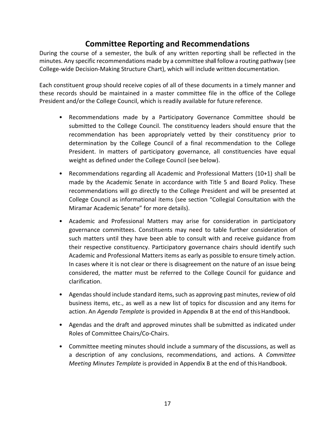## **Committee Reporting and Recommendations**

<span id="page-16-0"></span>During the course of a semester, the bulk of any written reporting shall be reflected in the minutes. Any specific recommendations made by a committee shallfollow a routing pathway (see College-wide Decision-Making Structure Chart), which will include written documentation.

Each constituent group should receive copies of all of these documents in a timely manner and these records should be maintained in a master committee file in the office of the College President and/or the College Council, which is readily available for future reference.

- Recommendations made by a Participatory Governance Committee should be submitted to the College Council. The constituency leaders should ensure that the recommendation has been appropriately vetted by their constituency prior to determination by the College Council of a final recommendation to the College President. In matters of participatory governance, all constituencies have equal weight as defined under the College Council (see below).
- Recommendations regarding all Academic and Professional Matters (10+1) shall be made by the Academic Senate in accordance with Title 5 and Board Policy. These recommendations will go directly to the College President and will be presented at College Council as informational items (see section "Collegial Consultation with the Miramar Academic Senate" for more details).
- Academic and Professional Matters may arise for consideration in participatory governance committees. Constituents may need to table further consideration of such matters until they have been able to consult with and receive guidance from their respective constituency. Participatory governance chairs should identify such Academic and Professional Matters items as early as possible to ensure timely action. In cases where it is not clear or there is disagreement on the nature of an issue being considered, the matter must be referred to the College Council for guidance and clarification.
- Agendas should include standard items, such as approving past minutes, review of old business items, etc., as well as a new list of topics for discussion and any items for action. An *Agenda Template* is provided in Appendix B at the end of this Handbook.
- Agendas and the draft and approved minutes shall be submitted as indicated under Roles of Committee Chairs/Co-Chairs.
- Committee meeting minutes should include a summary of the discussions, as well as a description of any conclusions, recommendations, and actions. A *Committee Meeting Minutes Template* is provided in Appendix B at the end of this Handbook.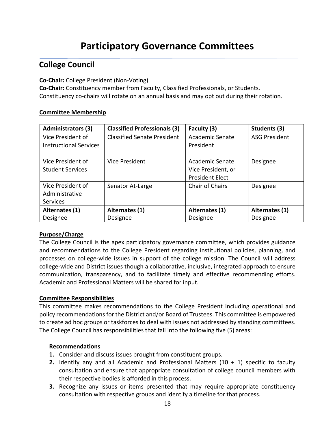# **Participatory Governance Committees**

## <span id="page-17-1"></span><span id="page-17-0"></span>**College Council**

## **Co-Chair:** College President (Non-Voting)

**Co-Chair:** Constituency member from Faculty, Classified Professionals, or Students. Constituency co-chairs will rotate on an annual basis and may opt out during their rotation.

#### **Committee Membership**

| <b>Administrators (3)</b>     | <b>Classified Professionals (3)</b> | Faculty (3)            | Students (3)         |
|-------------------------------|-------------------------------------|------------------------|----------------------|
| Vice President of             | <b>Classified Senate President</b>  | Academic Senate        | <b>ASG President</b> |
| <b>Instructional Services</b> |                                     | President              |                      |
|                               |                                     |                        |                      |
| Vice President of             | <b>Vice President</b>               | Academic Senate        | Designee             |
| <b>Student Services</b>       |                                     | Vice President, or     |                      |
|                               |                                     | <b>President Elect</b> |                      |
| Vice President of             | Senator At-Large                    | Chair of Chairs        | Designee             |
| Administrative                |                                     |                        |                      |
| <b>Services</b>               |                                     |                        |                      |
| Alternates (1)                | Alternates (1)                      | Alternates (1)         | Alternates (1)       |
| Designee                      | Designee                            | Designee               | Designee             |

## **Purpose/Charge**

The College Council is the apex participatory governance committee, which provides guidance and recommendations to the College President regarding institutional policies, planning, and processes on college-wide issues in support of the college mission. The Council will address college-wide and District issues though a collaborative, inclusive, integrated approach to ensure communication, transparency, and to facilitate timely and effective recommending efforts. Academic and Professional Matters will be shared for input.

#### **Committee Responsibilities**

This committee makes recommendations to the College President including operational and policy recommendations for the District and/or Board of Trustees. This committee is empowered to create ad hoc groups or taskforces to deal with issues not addressed by standing committees. The College Council has responsibilities that fall into the following five (5) areas:

#### **Recommendations**

- **1.** Consider and discuss issues brought from constituent groups.
- **2.** Identify any and all Academic and Professional Matters (10 + 1) specific to faculty consultation and ensure that appropriate consultation of college council members with their respective bodies is afforded in this process.
- **3.** Recognize any issues or items presented that may require appropriate constituency consultation with respective groups and identify a timeline for that process.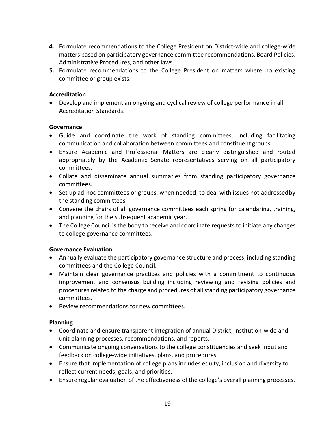- **4.** Formulate recommendations to the College President on District-wide and college-wide matters based on participatory governance committee recommendations, Board Policies, Administrative Procedures, and other laws.
- **5.** Formulate recommendations to the College President on matters where no existing committee or group exists.

## **Accreditation**

• Develop and implement an ongoing and cyclical review of college performance in all Accreditation Standards.

#### **Governance**

- Guide and coordinate the work of standing committees, including facilitating communication and collaboration between committees and constituent groups.
- Ensure Academic and Professional Matters are clearly distinguished and routed appropriately by the Academic Senate representatives serving on all participatory committees.
- Collate and disseminate annual summaries from standing participatory governance committees.
- Set up ad-hoc committees or groups, when needed, to deal with issues not addressedby the standing committees.
- Convene the chairs of all governance committees each spring for calendaring, training, and planning for the subsequent academic year.
- The College Council is the body to receive and coordinate requests to initiate any changes to college governance committees.

## **Governance Evaluation**

- Annually evaluate the participatory governance structure and process, including standing committees and the College Council.
- Maintain clear governance practices and policies with a commitment to continuous improvement and consensus building including reviewing and revising policies and procedures related to the charge and procedures of all standing participatory governance committees.
- Review recommendations for new committees.

## **Planning**

- Coordinate and ensure transparent integration of annual District, institution-wide and unit planning processes, recommendations, and reports.
- Communicate ongoing conversations to the college constituencies and seek input and feedback on college-wide initiatives, plans, and procedures.
- Ensure that implementation of college plans includes equity, inclusion and diversity to reflect current needs, goals, and priorities.
- Ensure regular evaluation of the effectiveness of the college's overall planning processes.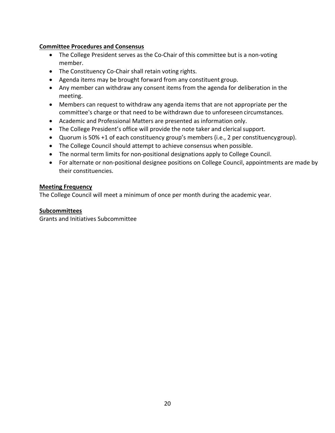## **Committee Procedures and Consensus**

- The College President serves as the Co-Chair of this committee but is a non-voting member.
- The Constituency Co-Chair shall retain voting rights.
- Agenda items may be brought forward from any constituent group.
- Any member can withdraw any consent items from the agenda for deliberation in the meeting.
- Members can request to withdraw any agenda items that are not appropriate per the committee's charge or that need to be withdrawn due to unforeseen circumstances.
- Academic and Professional Matters are presented as information only.
- The College President's office will provide the note taker and clerical support.
- Quorum is 50% +1 of each constituency group's members (i.e., 2 per constituency group).
- The College Council should attempt to achieve consensus when possible.
- The normal term limits for non-positional designations apply to College Council.
- For alternate or non-positional designee positions on College Council, appointments are made by their constituencies.

## **Meeting Frequency**

The College Council will meet a minimum of once per month during the academic year.

#### **Subcommittees**

Grants and Initiatives Subcommittee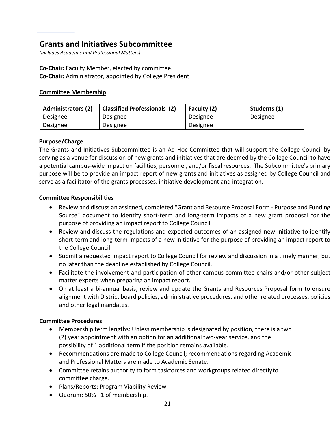## <span id="page-20-0"></span>**Grants and Initiatives Subcommittee**

*(Includes Academic and Professional Matters)*

**Co-Chair:** Faculty Member, elected by committee. **Co-Chair:** Administrator, appointed by College President

## **Committee Membership**

| <b>Administrators (2)</b> | <b>Classified Professionals (2)</b> | Faculty (2) | Students (1) |
|---------------------------|-------------------------------------|-------------|--------------|
| Designee                  | Designee                            | Designee    | Designee     |
| Designee                  | Designee                            | Designee    |              |

## **Purpose/Charge**

The Grants and Initiatives Subcommittee is an Ad Hoc Committee that will support the College Council by serving as a venue for discussion of new grants and initiatives that are deemed by the College Council to have a potential campus-wide impact on facilities, personnel, and/or fiscal resources. The Subcommittee's primary purpose will be to provide an impact report of new grants and initiatives as assigned by College Council and serve as a facilitator of the grants processes, initiative development and integration.

## **Committee Responsibilities**

- Review and discuss an assigned, completed "Grant and Resource Proposal Form Purpose and Funding Source" document to identify short-term and long-term impacts of a new grant proposal for the purpose of providing an impact report to College Council.
- Review and discuss the regulations and expected outcomes of an assigned new initiative to identify short-term and long-term impacts of a new initiative for the purpose of providing an impact report to the College Council.
- Submit a requested impact report to College Council for review and discussion in a timely manner, but no later than the deadline established by College Council.
- Facilitate the involvement and participation of other campus committee chairs and/or other subject matter experts when preparing an impact report.
- On at least a bi-annual basis, review and update the Grants and Resources Proposal form to ensure alignment with District board policies, administrative procedures, and other related processes, policies and other legal mandates.

#### **Committee Procedures**

- Membership term lengths: Unless membership is designated by position, there is a two (2) year appointment with an option for an additional two-year service, and the possibility of 1 additional term if the position remains available.
- Recommendations are made to College Council; recommendations regarding Academic and Professional Matters are made to Academic Senate.
- Committee retains authority to form taskforces and workgroups related directlyto committee charge.
- Plans/Reports: Program Viability Review.
- Quorum: 50% +1 of membership.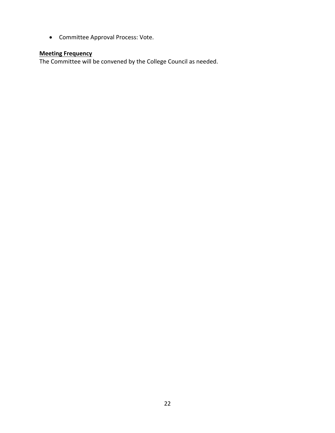• Committee Approval Process: Vote.

## **Meeting Frequency**

The Committee will be convened by the College Council as needed.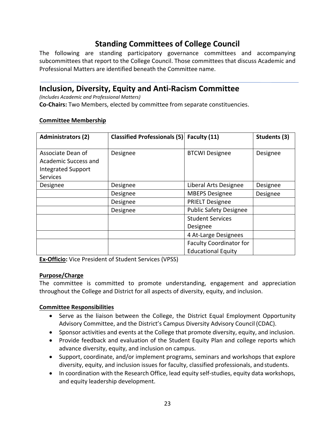## **Standing Committees of College Council**

<span id="page-22-0"></span>The following are standing participatory governance committees and accompanying subcommittees that report to the College Council. Those committees that discuss Academic and Professional Matters are identified beneath the Committee name.

## <span id="page-22-1"></span>**Inclusion, Diversity, Equity and Anti-Racism Committee**

*(Includes Academic and Professional Matters)*

**Co-Chairs:** Two Members, elected by committee from separate constituencies.

| <b>Administrators (2)</b>                                                                 | <b>Classified Professionals (5)</b> | Faculty (11)                                                | Students (3) |
|-------------------------------------------------------------------------------------------|-------------------------------------|-------------------------------------------------------------|--------------|
| Associate Dean of<br>Academic Success and<br><b>Integrated Support</b><br><b>Services</b> | Designee                            | <b>BTCWI Designee</b>                                       | Designee     |
| Designee                                                                                  | Designee                            | Liberal Arts Designee                                       | Designee     |
|                                                                                           | Designee                            | <b>MBEPS Designee</b>                                       | Designee     |
|                                                                                           | Designee                            | <b>PRIELT Designee</b>                                      |              |
|                                                                                           | Designee                            | <b>Public Safety Designee</b>                               |              |
|                                                                                           |                                     | <b>Student Services</b><br>Designee                         |              |
|                                                                                           |                                     | 4 At-Large Designees                                        |              |
|                                                                                           |                                     | <b>Faculty Coordinator for</b><br><b>Educational Equity</b> |              |

## **Committee Membership**

**Ex-Officio:** Vice President of Student Services (VPSS)

## **Purpose/Charge**

The committee is committed to promote understanding, engagement and appreciation throughout the College and District for all aspects of diversity, equity, and inclusion.

- Serve as the liaison between the College, the District Equal Employment Opportunity Advisory Committee, and the District's Campus Diversity Advisory Council (CDAC).
- Sponsor activities and events at the College that promote diversity, equity, and inclusion.
- Provide feedback and evaluation of the Student Equity Plan and college reports which advance diversity, equity, and inclusion on campus.
- Support, coordinate, and/or implement programs, seminars and workshops that explore diversity, equity, and inclusion issues for faculty, classified professionals, and students.
- In coordination with the Research Office, lead equity self-studies, equity data workshops, and equity leadership development.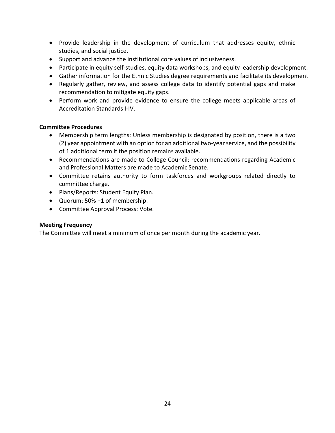- Provide leadership in the development of curriculum that addresses equity, ethnic studies, and social justice.
- Support and advance the institutional core values of inclusiveness.
- Participate in equity self-studies, equity data workshops, and equity leadership development.
- Gather information for the Ethnic Studies degree requirements and facilitate its development
- Regularly gather, review, and assess college data to identify potential gaps and make recommendation to mitigate equity gaps.
- Perform work and provide evidence to ensure the college meets applicable areas of Accreditation Standards I-IV.

#### **Committee Procedures**

- Membership term lengths: Unless membership is designated by position, there is a two (2) year appointment with an option for an additional two-year service, and the possibility of 1 additional term if the position remains available.
- Recommendations are made to College Council; recommendations regarding Academic and Professional Matters are made to Academic Senate.
- Committee retains authority to form taskforces and workgroups related directly to committee charge.
- Plans/Reports: Student Equity Plan.
- Quorum: 50% +1 of membership.
- Committee Approval Process: Vote.

## **Meeting Frequency**

The Committee will meet a minimum of once per month during the academic year.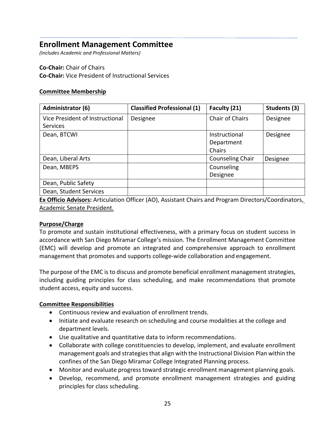## <span id="page-24-0"></span>**Enrollment Management Committee**

*(Includes Academic and Professional Matters)*

## **Co-Chair:** Chair of Chairs **Co-Chair:** Vice President of Instructional Services

## **Committee Membership**

| Administrator (6)                                  | <b>Classified Professional (1)</b> | Faculty (21)            | Students (3) |
|----------------------------------------------------|------------------------------------|-------------------------|--------------|
| Vice President of Instructional<br><b>Services</b> | Designee                           | <b>Chair of Chairs</b>  | Designee     |
| Dean, BTCWI                                        |                                    | Instructional           | Designee     |
|                                                    |                                    | Department              |              |
|                                                    |                                    | Chairs                  |              |
| Dean, Liberal Arts                                 |                                    | <b>Counseling Chair</b> | Designee     |
| Dean, MBEPS                                        |                                    | Counseling              |              |
|                                                    |                                    | Designee                |              |
| Dean, Public Safety                                |                                    |                         |              |
| Dean, Student Services                             |                                    |                         |              |

**Ex Officio Advisors:** Articulation Officer (AO), Assistant Chairs and Program Directors/Coordinators, Academic Senate President.

## **Purpose/Charge**

To promote and sustain institutional effectiveness, with a primary focus on student success in accordance with San Diego Miramar College's mission. The Enrollment Management Committee (EMC) will develop and promote an integrated and comprehensive approach to enrollment management that promotes and supports college-wide collaboration and engagement.

The purpose of the EMC is to discuss and promote beneficial enrollment management strategies, including guiding principles for class scheduling, and make recommendations that promote student access, equity and success.

- Continuous review and evaluation of enrollment trends.
- Initiate and evaluate research on scheduling and course modalities at the college and department levels.
- Use qualitative and quantitative data to inform recommendations.
- Collaborate with college constituencies to develop, implement, and evaluate enrollment management goals and strategies that align with the Instructional Division Plan within the confines of the San Diego Miramar College Integrated Planning process.
- Monitor and evaluate progress toward strategic enrollment management planning goals.
- Develop, recommend, and promote enrollment management strategies and guiding principles for class scheduling.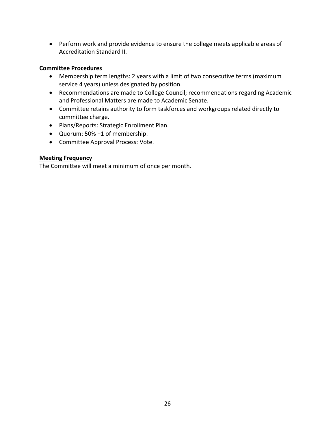• Perform work and provide evidence to ensure the college meets applicable areas of Accreditation Standard II.

## **Committee Procedures**

- Membership term lengths: 2 years with a limit of two consecutive terms (maximum service 4 years) unless designated by position.
- Recommendations are made to College Council; recommendations regarding Academic and Professional Matters are made to Academic Senate.
- Committee retains authority to form taskforces and workgroups related directly to committee charge.
- Plans/Reports: Strategic Enrollment Plan.
- Quorum: 50% +1 of membership.
- Committee Approval Process: Vote.

## **Meeting Frequency**

The Committee will meet a minimum of once per month.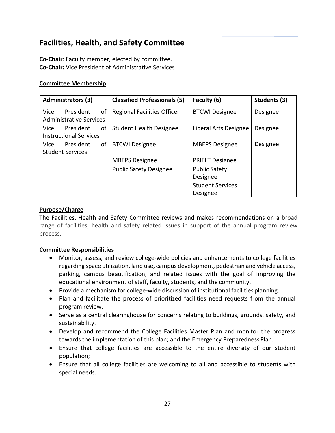## <span id="page-26-0"></span>**Facilities, Health, and Safety Committee**

**Co-Chair**: Faculty member, elected by committee. **Co-Chair:** Vice President of Administrative Services

#### **Committee Membership**

| <b>Administrators (3)</b>      |    | <b>Classified Professionals (5)</b> | Faculty (6)             | Students (3) |
|--------------------------------|----|-------------------------------------|-------------------------|--------------|
| President<br>Vice              | of | <b>Regional Facilities Officer</b>  | <b>BTCWI Designee</b>   | Designee     |
| <b>Administrative Services</b> |    |                                     |                         |              |
| President<br>Vice              | οf | <b>Student Health Designee</b>      | Liberal Arts Designee   | Designee     |
| <b>Instructional Services</b>  |    |                                     |                         |              |
| President<br>Vice.             | of | <b>BTCWI Designee</b>               | <b>MBEPS Designee</b>   | Designee     |
| <b>Student Services</b>        |    |                                     |                         |              |
|                                |    | <b>MBEPS Designee</b>               | <b>PRIELT Designee</b>  |              |
|                                |    | <b>Public Safety Designee</b>       | <b>Public Safety</b>    |              |
|                                |    |                                     | Designee                |              |
|                                |    |                                     | <b>Student Services</b> |              |
|                                |    |                                     | Designee                |              |

## **Purpose/Charge**

The Facilities, Health and Safety Committee reviews and makes recommendations on a broad range of facilities, health and safety related issues in support of the annual program review process.

- Monitor, assess, and review college-wide policies and enhancements to college facilities regarding space utilization, land use, campus development, pedestrian and vehicle access, parking, campus beautification, and related issues with the goal of improving the educational environment of staff, faculty, students, and the community.
- Provide a mechanism for college-wide discussion of institutional facilities planning.
- Plan and facilitate the process of prioritized facilities need requests from the annual program review.
- Serve as a central clearinghouse for concerns relating to buildings, grounds, safety, and sustainability.
- Develop and recommend the College Facilities Master Plan and monitor the progress towards the implementation of this plan; and the Emergency Preparedness Plan.
- Ensure that college facilities are accessible to the entire diversity of our student population;
- Ensure that all college facilities are welcoming to all and accessible to students with special needs.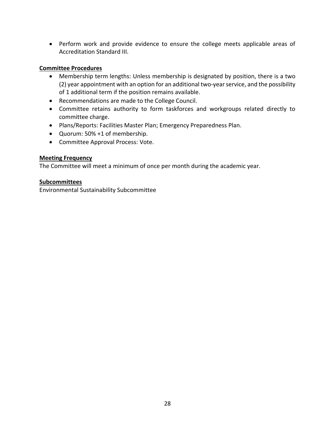• Perform work and provide evidence to ensure the college meets applicable areas of Accreditation Standard III.

## **Committee Procedures**

- Membership term lengths: Unless membership is designated by position, there is a two (2) year appointment with an option for an additional two-year service, and the possibility of 1 additional term if the position remains available.
- Recommendations are made to the College Council.
- Committee retains authority to form taskforces and workgroups related directly to committee charge.
- Plans/Reports: Facilities Master Plan; Emergency Preparedness Plan.
- Quorum: 50% +1 of membership.
- Committee Approval Process: Vote.

## **Meeting Frequency**

The Committee will meet a minimum of once per month during the academic year.

## **Subcommittees**

Environmental Sustainability Subcommittee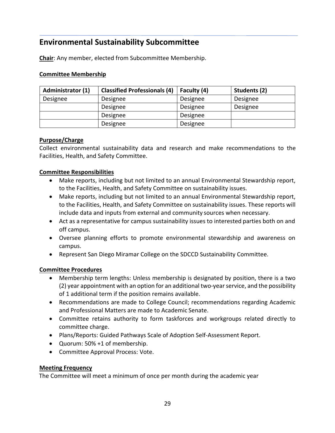## <span id="page-28-0"></span>**Environmental Sustainability Subcommittee**

**Chair**: Any member, elected from Subcommittee Membership.

## **Committee Membership**

| <b>Administrator (1)</b> | <b>Classified Professionals (4)</b> | Faculty (4) | Students (2) |
|--------------------------|-------------------------------------|-------------|--------------|
| Designee                 | Designee                            | Designee    | Designee     |
|                          | Designee                            | Designee    | Designee     |
|                          | Designee                            | Designee    |              |
|                          | Designee                            | Designee    |              |

## **Purpose/Charge**

Collect environmental sustainability data and research and make recommendations to the Facilities, Health, and Safety Committee.

## **Committee Responsibilities**

- Make reports, including but not limited to an annual Environmental Stewardship report, to the Facilities, Health, and Safety Committee on sustainability issues.
- Make reports, including but not limited to an annual Environmental Stewardship report, to the Facilities, Health, and Safety Committee on sustainability issues. These reports will include data and inputs from external and community sources when necessary.
- Act as a representative for campus sustainability issues to interested parties both on and off campus.
- Oversee planning efforts to promote environmental stewardship and awareness on campus.
- Represent San Diego Miramar College on the SDCCD Sustainability Committee.

## **Committee Procedures**

- Membership term lengths: Unless membership is designated by position, there is a two (2) year appointment with an option for an additional two-year service, and the possibility of 1 additional term if the position remains available.
- Recommendations are made to College Council; recommendations regarding Academic and Professional Matters are made to Academic Senate.
- Committee retains authority to form taskforces and workgroups related directly to committee charge.
- Plans/Reports: Guided Pathways Scale of Adoption Self-Assessment Report.
- Quorum: 50% +1 of membership.
- Committee Approval Process: Vote.

## **Meeting Frequency**

The Committee will meet a minimum of once per month during the academic year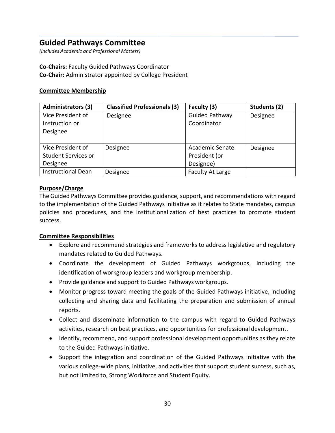## <span id="page-29-0"></span>**Guided Pathways Committee**

*(Includes Academic and Professional Matters)*

#### **Co-Chairs:** Faculty Guided Pathways Coordinator **Co-Chair:** Administrator appointed by College President

## **Committee Membership**

| <b>Administrators (3)</b>  | <b>Classified Professionals (3)</b> | Faculty (3)             | Students (2) |
|----------------------------|-------------------------------------|-------------------------|--------------|
| Vice President of          | Designee                            | <b>Guided Pathway</b>   | Designee     |
| Instruction or             |                                     | Coordinator             |              |
| Designee                   |                                     |                         |              |
|                            |                                     |                         |              |
| Vice President of          | Designee                            | Academic Senate         | Designee     |
| <b>Student Services or</b> |                                     | President (or           |              |
| Designee                   |                                     | Designee)               |              |
| <b>Instructional Dean</b>  | Designee                            | <b>Faculty At Large</b> |              |

## **Purpose/Charge**

The Guided Pathways Committee provides guidance, support, and recommendations with regard to the implementation of the Guided Pathways Initiative as it relates to State mandates, campus policies and procedures, and the institutionalization of best practices to promote student success.

- Explore and recommend strategies and frameworks to address legislative and regulatory mandates related to Guided Pathways.
- Coordinate the development of Guided Pathways workgroups, including the identification of workgroup leaders and workgroup membership.
- Provide guidance and support to Guided Pathways workgroups.
- Monitor progress toward meeting the goals of the Guided Pathways initiative, including collecting and sharing data and facilitating the preparation and submission of annual reports.
- Collect and disseminate information to the campus with regard to Guided Pathways activities, research on best practices, and opportunities for professional development.
- Identify, recommend, and support professional development opportunities as they relate to the Guided Pathways initiative.
- Support the integration and coordination of the Guided Pathways initiative with the various college-wide plans, initiative, and activities that support student success, such as, but not limited to, Strong Workforce and Student Equity.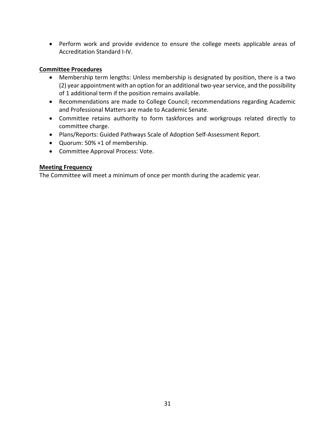• Perform work and provide evidence to ensure the college meets applicable areas of Accreditation Standard I-IV.

## **Committee Procedures**

- Membership term lengths: Unless membership is designated by position, there is a two (2) year appointment with an option for an additional two-year service, and the possibility of 1 additional term if the position remains available.
- Recommendations are made to College Council; recommendations regarding Academic and Professional Matters are made to Academic Senate.
- Committee retains authority to form taskforces and workgroups related directly to committee charge.
- Plans/Reports: Guided Pathways Scale of Adoption Self-Assessment Report.
- Quorum: 50% +1 of membership.
- Committee Approval Process: Vote.

## **Meeting Frequency**

The Committee will meet a minimum of once per month during the academic year.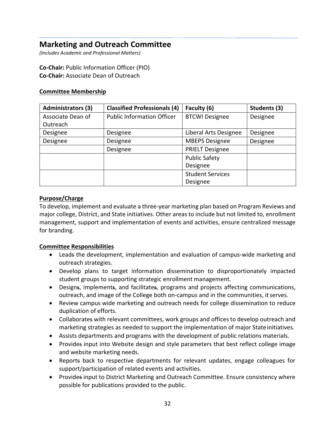## <span id="page-31-0"></span>**Marketing and Outreach Committee**

*(Includes Academic and Professional Matters)*

**Co-Chair:** Public Information Officer (PIO) **Co-Chair:** Associate Dean of Outreach

## **Committee Membership**

| <b>Administrators (3)</b> | <b>Classified Professionals (4)</b> | Faculty (6)             | Students (3) |
|---------------------------|-------------------------------------|-------------------------|--------------|
| Associate Dean of         | <b>Public Information Officer</b>   | <b>BTCWI Designee</b>   | Designee     |
| Outreach                  |                                     |                         |              |
| Designee                  | Designee                            | Liberal Arts Designee   | Designee     |
| Designee                  | Designee                            | <b>MBEPS Designee</b>   | Designee     |
|                           | Designee                            | <b>PRIELT Designee</b>  |              |
|                           |                                     | <b>Public Safety</b>    |              |
|                           |                                     | Designee                |              |
|                           |                                     | <b>Student Services</b> |              |
|                           |                                     | Designee                |              |

## **Purpose/Charge**

To develop, implement and evaluate a three-year marketing plan based on Program Reviews and major college, District, and State initiatives. Other areas to include but not limited to, enrollment management, support and implementation of events and activities, ensure centralized message for branding.

- Leads the development, implementation and evaluation of campus-wide marketing and outreach strategies.
- Develop plans to target information dissemination to disproportionately impacted student groups to supporting strategic enrollment management.
- Designs, implements, and facilitates, programs and projects affecting communications, outreach, and image of the College both on-campus and in the communities, itserves.
- Review campus wide marketing and outreach needs for college dissemination to reduce duplication of efforts.
- Collaborates with relevant committees, work groups and offices to develop outreach and marketing strategies as needed to support the implementation of major Stateinitiatives.
- Assists departments and programs with the development of public relations materials.
- Provides input into Website design and style parameters that best reflect college image and website marketing needs.
- Reports back to respective departments for relevant updates, engage colleagues for support/participation of related events and activities.
- Provides input to District Marketing and Outreach Committee. Ensure consistency where possible for publications provided to the public.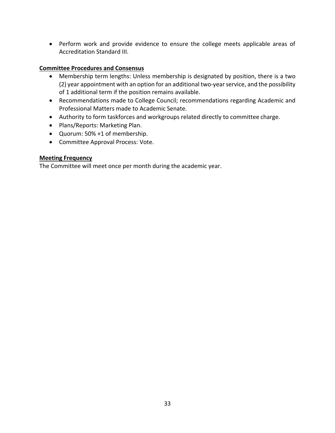• Perform work and provide evidence to ensure the college meets applicable areas of Accreditation Standard III.

## **Committee Procedures and Consensus**

- Membership term lengths: Unless membership is designated by position, there is a two (2) year appointment with an option for an additional two-year service, and the possibility of 1 additional term if the position remains available.
- Recommendations made to College Council; recommendations regarding Academic and Professional Matters made to Academic Senate.
- Authority to form taskforces and workgroups related directly to committee charge.
- Plans/Reports: Marketing Plan.
- Quorum: 50% +1 of membership.
- Committee Approval Process: Vote.

## **Meeting Frequency**

The Committee will meet once per month during the academic year.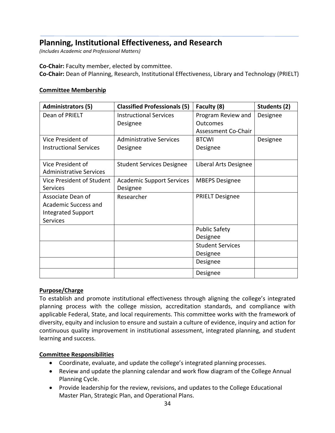## <span id="page-33-0"></span>**Planning, Institutional Effectiveness, and Research**

*(Includes Academic and Professional Matters)*

**Co-Chair:** Faculty member, elected by committee.

**Co-Chair:** Dean of Planning, Research, Institutional Effectiveness, Library and Technology (PRIELT)

#### **Committee Membership**

| <b>Administrators (5)</b>                           | <b>Classified Professionals (5)</b> | Faculty (8)             | Students (2) |
|-----------------------------------------------------|-------------------------------------|-------------------------|--------------|
| Dean of PRIELT                                      | <b>Instructional Services</b>       | Program Review and      | Designee     |
|                                                     | Designee                            | Outcomes                |              |
|                                                     |                                     | Assessment Co-Chair     |              |
| Vice President of                                   | <b>Administrative Services</b>      | <b>BTCWI</b>            | Designee     |
| <b>Instructional Services</b>                       | Designee                            | Designee                |              |
|                                                     |                                     |                         |              |
| Vice President of<br><b>Administrative Services</b> | <b>Student Services Designee</b>    | Liberal Arts Designee   |              |
| Vice President of Student                           | <b>Academic Support Services</b>    | <b>MBEPS Designee</b>   |              |
| <b>Services</b>                                     | Designee                            |                         |              |
| Associate Dean of                                   | Researcher                          | <b>PRIELT Designee</b>  |              |
| Academic Success and                                |                                     |                         |              |
| <b>Integrated Support</b>                           |                                     |                         |              |
| <b>Services</b>                                     |                                     |                         |              |
|                                                     |                                     | <b>Public Safety</b>    |              |
|                                                     |                                     | Designee                |              |
|                                                     |                                     | <b>Student Services</b> |              |
|                                                     |                                     | Designee                |              |
|                                                     |                                     | Designee                |              |
|                                                     |                                     | Designee                |              |

#### **Purpose/Charge**

To establish and promote institutional effectiveness through aligning the college's integrated planning process with the college mission, accreditation standards, and compliance with applicable Federal, State, and local requirements. This committee works with the framework of diversity, equity and inclusion to ensure and sustain a culture of evidence, inquiry and action for continuous quality improvement in institutional assessment, integrated planning, and student learning and success.

- Coordinate, evaluate, and update the college's integrated planning processes.
- Review and update the planning calendar and work flow diagram of the College Annual Planning Cycle.
- Provide leadership for the review, revisions, and updates to the College Educational Master Plan, Strategic Plan, and Operational Plans.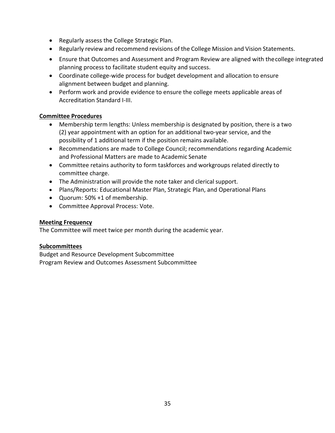- Regularly assess the College Strategic Plan.
- Regularly review and recommend revisions of the College Mission and Vision Statements.
- Ensure that Outcomes and Assessment and Program Review are aligned with thecollege integrated planning process to facilitate student equity and success.
- Coordinate college-wide process for budget development and allocation to ensure alignment between budget and planning.
- Perform work and provide evidence to ensure the college meets applicable areas of Accreditation Standard I-III.

## **Committee Procedures**

- Membership term lengths: Unless membership is designated by position, there is a two (2) year appointment with an option for an additional two-year service, and the possibility of 1 additional term if the position remains available.
- Recommendations are made to College Council; recommendations regarding Academic and Professional Matters are made to Academic Senate
- Committee retains authority to form taskforces and workgroups related directly to committee charge.
- The Administration will provide the note taker and clerical support.
- Plans/Reports: Educational Master Plan, Strategic Plan, and Operational Plans
- Quorum: 50% +1 of membership.
- Committee Approval Process: Vote.

## **Meeting Frequency**

The Committee will meet twice per month during the academic year.

## **Subcommittees**

Budget and Resource Development Subcommittee Program Review and Outcomes Assessment Subcommittee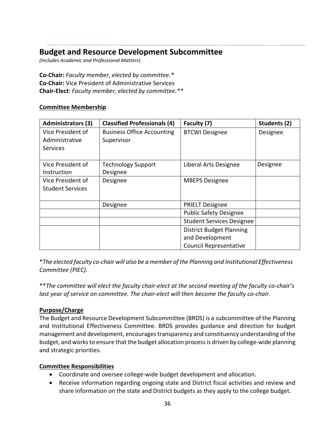## <span id="page-35-0"></span>**Budget and Resource Development Subcommittee**

*(Includes Academic and Professional Matters)*

## **Co-Chair:** *Faculty member, elected by committee.\** **Co-Chair:** Vice President of Administrative Services **Chair-Elect**: *Faculty member, elected by committee.\*\**

## **Committee Membership**

| <b>Administrators (3)</b> | <b>Classified Professionals (4)</b> | Faculty (7)                      | Students (2) |
|---------------------------|-------------------------------------|----------------------------------|--------------|
| Vice President of         | <b>Business Office Accounting</b>   | <b>BTCWI Designee</b>            | Designee     |
| Administrative            | Supervisor                          |                                  |              |
| <b>Services</b>           |                                     |                                  |              |
|                           |                                     |                                  |              |
| Vice President of         | <b>Technology Support</b>           | Liberal Arts Designee            | Designee     |
| Instruction               | Designee                            |                                  |              |
| Vice President of         | Designee                            | <b>MBEPS Designee</b>            |              |
| <b>Student Services</b>   |                                     |                                  |              |
|                           |                                     |                                  |              |
|                           | Designee                            | <b>PRIELT Designee</b>           |              |
|                           |                                     | <b>Public Safety Designee</b>    |              |
|                           |                                     | <b>Student Services Designee</b> |              |
|                           |                                     | <b>District Budget Planning</b>  |              |
|                           |                                     | and Development                  |              |
|                           |                                     | <b>Council Representative</b>    |              |

\**The elected faculty co-chair will also be a member of the Planning and Institutional Effectiveness Committee (PIEC).*

\*\**The committee will elect the faculty chair-elect at the second meeting of the faculty co-chair's last year of service on committee. The chair-elect will then become the faculty co-chair.*

#### **Purpose/Charge**

The Budget and Resource Development Subcommittee (BRDS) is a subcommittee of the Planning and Institutional Effectiveness Committee. BRDS provides guidance and direction for budget management and development, encourages transparency and constituency understanding of the budget, and works to ensure that the budget allocation process is driven by college-wide planning and strategic priorities.

- Coordinate and oversee college-wide budget development and allocation.
- Receive information regarding ongoing state and District fiscal activities and review and share information on the state and District budgets as they apply to the college budget.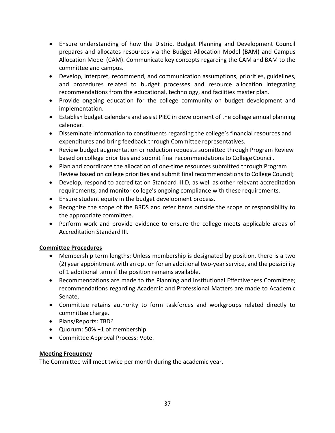- Ensure understanding of how the District Budget Planning and Development Council prepares and allocates resources via the Budget Allocation Model (BAM) and Campus Allocation Model (CAM). Communicate key concepts regarding the CAM and BAM to the committee and campus.
- Develop, interpret, recommend, and communication assumptions, priorities, guidelines, and procedures related to budget processes and resource allocation integrating recommendations from the educational, technology, and facilities master plan.
- Provide ongoing education for the college community on budget development and implementation.
- Establish budget calendars and assist PIEC in development of the college annual planning calendar.
- Disseminate information to constituents regarding the college's financial resources and expenditures and bring feedback through Committee representatives.
- Review budget augmentation or reduction requests submitted through Program Review based on college priorities and submit final recommendations to College Council.
- Plan and coordinate the allocation of one-time resources submitted through Program Review based on college priorities and submit final recommendations to College Council;
- Develop, respond to accreditation Standard III.D, as well as other relevant accreditation requirements, and monitor college's ongoing compliance with these requirements.
- Ensure student equity in the budget development process.
- Recognize the scope of the BRDS and refer items outside the scope of responsibility to the appropriate committee.
- Perform work and provide evidence to ensure the college meets applicable areas of Accreditation Standard III.

- Membership term lengths: Unless membership is designated by position, there is a two (2) year appointment with an option for an additional two-year service, and the possibility of 1 additional term if the position remains available.
- Recommendations are made to the Planning and Institutional Effectiveness Committee; recommendations regarding Academic and Professional Matters are made to Academic Senate,
- Committee retains authority to form taskforces and workgroups related directly to committee charge.
- Plans/Reports: TBD?
- Quorum: 50% +1 of membership.
- Committee Approval Process: Vote.

### **Meeting Frequency**

The Committee will meet twice per month during the academic year.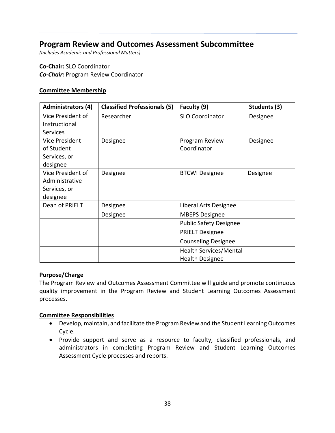### **Program Review and Outcomes Assessment Subcommittee**

*(Includes Academic and Professional Matters)*

**Co-Chair:** SLO Coordinator *Co-Chair:* Program Review Coordinator

#### **Committee Membership**

| <b>Administrators (4)</b> | <b>Classified Professionals (5)</b> | Faculty (9)                   | Students (3) |
|---------------------------|-------------------------------------|-------------------------------|--------------|
| Vice President of         | Researcher                          | <b>SLO Coordinator</b>        | Designee     |
| Instructional             |                                     |                               |              |
| <b>Services</b>           |                                     |                               |              |
| Vice President            | Designee                            | Program Review                | Designee     |
| of Student                |                                     | Coordinator                   |              |
| Services, or              |                                     |                               |              |
| designee                  |                                     |                               |              |
| Vice President of         | Designee                            | <b>BTCWI Designee</b>         | Designee     |
| Administrative            |                                     |                               |              |
| Services, or              |                                     |                               |              |
| designee                  |                                     |                               |              |
| Dean of PRIELT            | Designee                            | Liberal Arts Designee         |              |
|                           | Designee                            | <b>MBEPS Designee</b>         |              |
|                           |                                     | <b>Public Safety Designee</b> |              |
|                           |                                     | <b>PRIELT Designee</b>        |              |
|                           |                                     | <b>Counseling Designee</b>    |              |
|                           |                                     | <b>Health Services/Mental</b> |              |
|                           |                                     | <b>Health Designee</b>        |              |

#### **Purpose/Charge**

The Program Review and Outcomes Assessment Committee will guide and promote continuous quality improvement in the Program Review and Student Learning Outcomes Assessment processes.

- Develop, maintain, and facilitate the Program Review and the Student Learning Outcomes Cycle.
- Provide support and serve as a resource to faculty, classified professionals, and administrators in completing Program Review and Student Learning Outcomes Assessment Cycle processes and reports.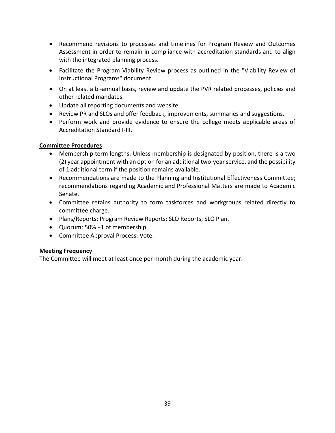- Recommend revisions to processes and timelines for Program Review and Outcomes Assessment in order to remain in compliance with accreditation standards and to align with the integrated planning process.
- Facilitate the Program Viability Review process as outlined in the "Viability Review of Instructional Programs" document.
- On at least a bi-annual basis, review and update the PVR related processes, policies and other related mandates.
- Update all reporting documents and website.
- Review PR and SLOs and offer feedback, improvements, summaries and suggestions.
- Perform work and provide evidence to ensure the college meets applicable areas of Accreditation Standard I-III.

- Membership term lengths: Unless membership is designated by position, there is a two (2) year appointment with an option for an additional two-year service, and the possibility of 1 additional term if the position remains available.
- Recommendations are made to the Planning and Institutional Effectiveness Committee; recommendations regarding Academic and Professional Matters are made to Academic Senate.
- Committee retains authority to form taskforces and workgroups related directly to committee charge.
- Plans/Reports: Program Review Reports; SLO Reports; SLO Plan.
- Quorum: 50% +1 of membership.
- Committee Approval Process: Vote.

### **Meeting Frequency**

The Committee will meet at least once per month during the academic year.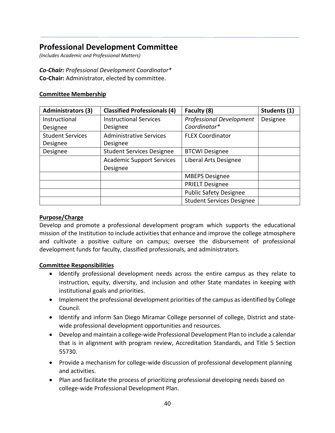## **Professional Development Committee**

*(Includes Academic and Professional Matters)*

### *Co-Chair: Professional Development Coordinator\**

**Co-Chair:** Administrator, elected by committee.

#### **Committee Membership**

| <b>Administrators (3)</b> | <b>Classified Professionals (4)</b> | Faculty (8)                      | Students (1) |
|---------------------------|-------------------------------------|----------------------------------|--------------|
| Instructional             | <b>Instructional Services</b>       | <b>Professional Development</b>  | Designee     |
| Designee                  | Designee                            | Coordinator*                     |              |
| <b>Student Services</b>   | <b>Administrative Services</b>      | <b>FLEX Coordinator</b>          |              |
| Designee                  | Designee                            |                                  |              |
| Designee                  | <b>Student Services Designee</b>    | <b>BTCWI Designee</b>            |              |
|                           | <b>Academic Support Services</b>    | Liberal Arts Designee            |              |
|                           | Designee                            |                                  |              |
|                           |                                     | <b>MBEPS Designee</b>            |              |
|                           |                                     | <b>PRIELT Designee</b>           |              |
|                           |                                     | <b>Public Safety Designee</b>    |              |
|                           |                                     | <b>Student Services Designee</b> |              |

#### **Purpose/Charge**

Develop and promote a professional development program which supports the educational mission of the Institution to include activities that enhance and improve the college atmosphere and cultivate a positive culture on campus; oversee the disbursement of professional development funds for faculty, classified professionals, and administrators.

- Identify professional development needs across the entire campus as they relate to instruction, equity, diversity, and inclusion and other State mandates in keeping with institutional goals and priorities.
- Implement the professional development priorities of the campus as identified by College Council.
- Identify and inform San Diego Miramar College personnel of college, District and statewide professional development opportunities and resources.
- Develop and maintain a college-wide Professional Development Plan to include a calendar that is in alignment with program review, Accreditation Standards, and Title 5 Section 55730.
- Provide a mechanism for college-wide discussion of professional development planning and activities.
- Plan and facilitate the process of prioritizing professional developing needs based on college-wide Professional Development Plan.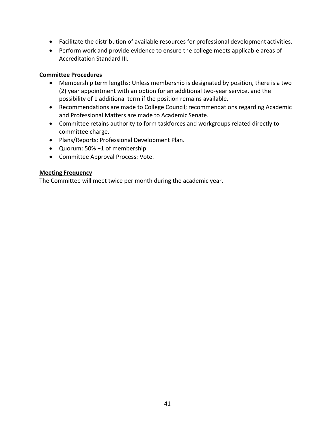- Facilitate the distribution of available resources for professional development activities.
- Perform work and provide evidence to ensure the college meets applicable areas of Accreditation Standard III.

- Membership term lengths: Unless membership is designated by position, there is a two (2) year appointment with an option for an additional two-year service, and the possibility of 1 additional term if the position remains available.
- Recommendations are made to College Council; recommendations regarding Academic and Professional Matters are made to Academic Senate.
- Committee retains authority to form taskforces and workgroups related directly to committee charge.
- Plans/Reports: Professional Development Plan.
- Quorum: 50% +1 of membership.
- Committee Approval Process: Vote.

#### **Meeting Frequency**

The Committee will meet twice per month during the academic year.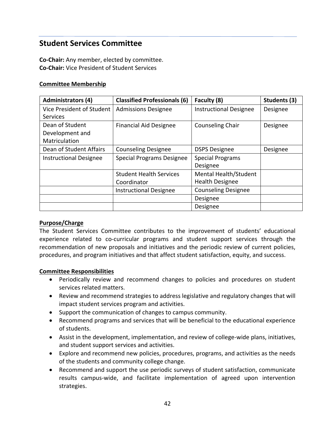### **Student Services Committee**

**Co-Chair:** Any member, elected by committee. **Co-Chair:** Vice President of Student Services

#### **Committee Membership**

| <b>Administrators (4)</b>     | <b>Classified Professionals (6)</b> | Faculty (8)                   | Students (3) |
|-------------------------------|-------------------------------------|-------------------------------|--------------|
| Vice President of Student     | <b>Admissions Designee</b>          | <b>Instructional Designee</b> | Designee     |
| <b>Services</b>               |                                     |                               |              |
| Dean of Student               | <b>Financial Aid Designee</b>       | <b>Counseling Chair</b>       | Designee     |
| Development and               |                                     |                               |              |
| Matriculation                 |                                     |                               |              |
| Dean of Student Affairs       | <b>Counseling Designee</b>          | <b>DSPS Designee</b>          | Designee     |
| <b>Instructional Designee</b> | <b>Special Programs Designee</b>    | <b>Special Programs</b>       |              |
|                               |                                     | Designee                      |              |
|                               | <b>Student Health Services</b>      | Mental Health/Student         |              |
|                               | Coordinator                         | <b>Health Designee</b>        |              |
|                               | <b>Instructional Designee</b>       | <b>Counseling Designee</b>    |              |
|                               |                                     | Designee                      |              |
|                               |                                     | Designee                      |              |

#### **Purpose/Charge**

The Student Services Committee contributes to the improvement of students' educational experience related to co-curricular programs and student support services through the recommendation of new proposals and initiatives and the periodic review of current policies, procedures, and program initiatives and that affect student satisfaction, equity, and success.

- Periodically review and recommend changes to policies and procedures on student services related matters.
- Review and recommend strategies to address legislative and regulatory changes that will impact student services program and activities.
- Support the communication of changes to campus community.
- Recommend programs and services that will be beneficial to the educational experience of students.
- Assist in the development, implementation, and review of college-wide plans, initiatives, and student support services and activities.
- Explore and recommend new policies, procedures, programs, and activities as the needs of the students and community college change.
- Recommend and support the use periodic surveys of student satisfaction, communicate results campus-wide, and facilitate implementation of agreed upon intervention strategies.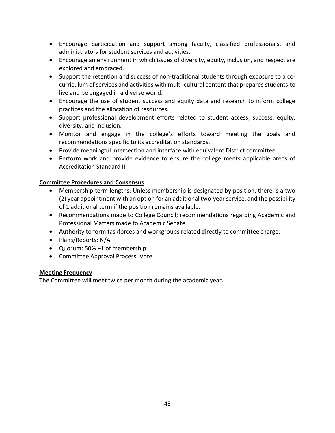- Encourage participation and support among faculty, classified professionals, and administrators for student services and activities.
- Encourage an environment in which issues of diversity, equity, inclusion, and respect are explored and embraced.
- Support the retention and success of non-traditional students through exposure to a cocurriculum of services and activities with multi-cultural content that prepares students to live and be engaged in a diverse world.
- Encourage the use of student success and equity data and research to inform college practices and the allocation of resources.
- Support professional development efforts related to student access, success, equity, diversity, and inclusion.
- Monitor and engage in the college's efforts toward meeting the goals and recommendations specific to its accreditation standards.
- Provide meaningful intersection and interface with equivalent District committee.
- Perform work and provide evidence to ensure the college meets applicable areas of Accreditation Standard II.

### **Committee Procedures and Consensus**

- Membership term lengths: Unless membership is designated by position, there is a two (2) year appointment with an option for an additional two-year service, and the possibility of 1 additional term if the position remains available.
- Recommendations made to College Council; recommendations regarding Academic and Professional Matters made to Academic Senate.
- Authority to form taskforces and workgroups related directly to committee charge.
- Plans/Reports: N/A
- Quorum: 50% +1 of membership.
- Committee Approval Process: Vote.

### **Meeting Frequency**

The Committee will meet twice per month during the academic year.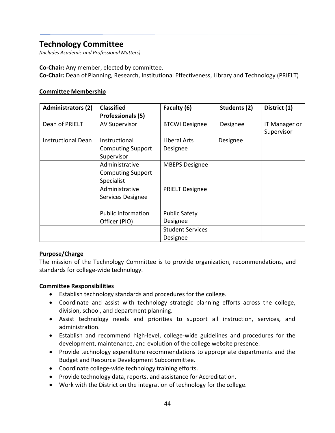### **Technology Committee**

*(Includes Academic and Professional Matters)*

**Co-Chair:** Any member, elected by committee. **Co-Chair:** Dean of Planning, Research, Institutional Effectiveness, Library and Technology (PRIELT)

#### **Committee Membership**

| <b>Administrators (2)</b> | <b>Classified</b>         | Faculty (6)             | Students (2) | District (1)         |
|---------------------------|---------------------------|-------------------------|--------------|----------------------|
|                           | <b>Professionals (5)</b>  |                         |              |                      |
| Dean of PRIELT            | <b>AV Supervisor</b>      | <b>BTCWI Designee</b>   | Designee     | <b>IT Manager or</b> |
|                           |                           |                         |              | Supervisor           |
| <b>Instructional Dean</b> | Instructional             | Liberal Arts            | Designee     |                      |
|                           | <b>Computing Support</b>  | Designee                |              |                      |
|                           | Supervisor                |                         |              |                      |
|                           | Administrative            | <b>MBEPS Designee</b>   |              |                      |
|                           | <b>Computing Support</b>  |                         |              |                      |
|                           | Specialist                |                         |              |                      |
|                           | Administrative            | <b>PRIELT Designee</b>  |              |                      |
|                           | Services Designee         |                         |              |                      |
|                           |                           |                         |              |                      |
|                           | <b>Public Information</b> | <b>Public Safety</b>    |              |                      |
|                           | Officer (PIO)             | Designee                |              |                      |
|                           |                           | <b>Student Services</b> |              |                      |
|                           |                           | Designee                |              |                      |

### **Purpose/Charge**

The mission of the Technology Committee is to provide organization, recommendations, and standards for college-wide technology.

- Establish technology standards and procedures for the college.
- Coordinate and assist with technology strategic planning efforts across the college, division, school, and department planning.
- Assist technology needs and priorities to support all instruction, services, and administration.
- Establish and recommend high-level, college-wide guidelines and procedures for the development, maintenance, and evolution of the college website presence.
- Provide technology expenditure recommendations to appropriate departments and the Budget and Resource Development Subcommittee.
- Coordinate college-wide technology training efforts.
- Provide technology data, reports, and assistance for Accreditation.
- Work with the District on the integration of technology for the college.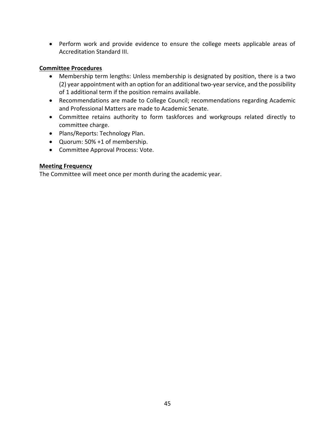• Perform work and provide evidence to ensure the college meets applicable areas of Accreditation Standard III.

#### **Committee Procedures**

- Membership term lengths: Unless membership is designated by position, there is a two (2) year appointment with an option for an additional two-year service, and the possibility of 1 additional term if the position remains available.
- Recommendations are made to College Council; recommendations regarding Academic and Professional Matters are made to Academic Senate.
- Committee retains authority to form taskforces and workgroups related directly to committee charge.
- Plans/Reports: Technology Plan.
- Quorum: 50% +1 of membership.
- Committee Approval Process: Vote.

#### **Meeting Frequency**

The Committee will meet once per month during the academic year.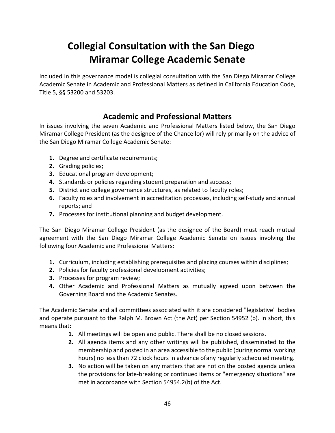# **Collegial Consultation with the San Diego Miramar College Academic Senate**

Included in this governance model is collegial consultation with the San Diego Miramar College Academic Senate in Academic and Professional Matters as defined in California Education Code, Title 5, §§ 53200 and 53203.

## **Academic and Professional Matters**

In issues involving the seven Academic and Professional Matters listed below, the San Diego Miramar College President (as the designee of the Chancellor) will rely primarily on the advice of the San Diego Miramar College Academic Senate:

- **1.** Degree and certificate requirements;
- **2.** Grading policies;
- **3.** Educational program development;
- **4.** Standards or policies regarding student preparation and success;
- **5.** District and college governance structures, as related to faculty roles;
- **6.** Faculty roles and involvement in accreditation processes, including self-study and annual reports; and
- **7.** Processes for institutional planning and budget development.

The San Diego Miramar College President (as the designee of the Board) must reach mutual agreement with the San Diego Miramar College Academic Senate on issues involving the following four Academic and Professional Matters:

- **1.** Curriculum, including establishing prerequisites and placing courses within disciplines;
- **2.** Policies for faculty professional development activities;
- **3.** Processes for program review;
- **4.** Other Academic and Professional Matters as mutually agreed upon between the Governing Board and the Academic Senates.

The Academic Senate and all committees associated with it are considered "legislative" bodies and operate pursuant to the Ralph M. Brown Act (the Act) per Section 54952 (b). In short, this means that:

- **1.** All meetings will be open and public. There shall be no closed sessions.
- **2.** All agenda items and any other writings will be published, disseminated to the membership and posted in an area accessible to the public (during normal working hours) no less than 72 clock hours in advance ofany regularly scheduled meeting.
- **3.** No action will be taken on any matters that are not on the posted agenda unless the provisions for late-breaking or continued items or "emergency situations" are met in accordance with Section 54954.2(b) of the Act.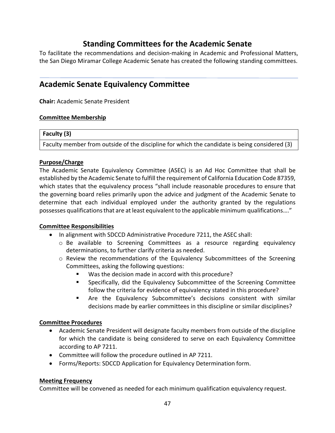## **Standing Committees for the Academic Senate**

To facilitate the recommendations and decision-making in Academic and Professional Matters, the San Diego Miramar College Academic Senate has created the following standing committees.

### **Academic Senate Equivalency Committee**

**Chair:** Academic Senate President

#### **Committee Membership**

#### **Faculty (3)**

Faculty member from outside of the discipline for which the candidate is being considered (3)

### **Purpose/Charge**

The Academic Senate Equivalency Committee (ASEC) is an Ad Hoc Committee that shall be established by the Academic Senate to fulfill the requirement of California Education Code 87359, which states that the equivalency process "shall include reasonable procedures to ensure that the governing board relies primarily upon the advice and judgment of the Academic Senate to determine that each individual employed under the authority granted by the regulations possesses qualifications that are at least equivalent to the applicable minimum qualifications…."

### **Committee Responsibilities**

- In alignment with SDCCD Administrative Procedure 7211, the ASEC shall:
	- o Be available to Screening Committees as a resource regarding equivalency determinations, to further clarify criteria as needed.
	- o Review the recommendations of the Equivalency Subcommittees of the Screening Committees, asking the following questions:
		- Was the decision made in accord with this procedure?
		- Specifically, did the Equivalency Subcommittee of the Screening Committee follow the criteria for evidence of equivalency stated in this procedure?
		- Are the Equivalency Subcommittee's decisions consistent with similar decisions made by earlier committees in this discipline or similar disciplines?

### **Committee Procedures**

- Academic Senate President will designate faculty members from outside of the discipline for which the candidate is being considered to serve on each Equivalency Committee according to AP 7211.
- Committee will follow the procedure outlined in AP 7211.
- Forms/Reports: SDCCD Application for Equivalency Determination form.

#### **Meeting Frequency**

Committee will be convened as needed for each minimum qualification equivalency request.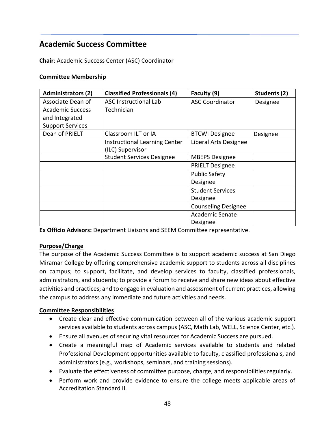## **Academic Success Committee**

**Chair**: Academic Success Center (ASC) Coordinator

#### **Committee Membership**

| <b>Administrators (2)</b> | <b>Classified Professionals (4)</b> | Faculty (9)                | Students (2) |
|---------------------------|-------------------------------------|----------------------------|--------------|
| Associate Dean of         | <b>ASC Instructional Lab</b>        | <b>ASC Coordinator</b>     | Designee     |
| Academic Success          | Technician                          |                            |              |
| and Integrated            |                                     |                            |              |
| <b>Support Services</b>   |                                     |                            |              |
| Dean of PRIELT            | Classroom ILT or IA                 | <b>BTCWI Designee</b>      | Designee     |
|                           | Instructional Learning Center       | Liberal Arts Designee      |              |
|                           | (ILC) Supervisor                    |                            |              |
|                           | <b>Student Services Designee</b>    | <b>MBEPS Designee</b>      |              |
|                           |                                     | <b>PRIELT Designee</b>     |              |
|                           |                                     | <b>Public Safety</b>       |              |
|                           |                                     | Designee                   |              |
|                           |                                     | <b>Student Services</b>    |              |
|                           |                                     | Designee                   |              |
|                           |                                     | <b>Counseling Designee</b> |              |
|                           |                                     | <b>Academic Senate</b>     |              |
|                           |                                     | Designee                   |              |

**Ex Officio Advisors:** Department Liaisons and SEEM Committee representative.

### **Purpose/Charge**

The purpose of the Academic Success Committee is to support academic success at San Diego Miramar College by offering comprehensive academic support to students across all disciplines on campus; to support, facilitate, and develop services to faculty, classified professionals, administrators, and students; to provide a forum to receive and share new ideas about effective activities and practices; and to engage in evaluation and assessment of current practices, allowing the campus to address any immediate and future activities and needs.

- Create clear and effective communication between all of the various academic support services available to students across campus (ASC, Math Lab, WELL, Science Center, etc.).
- Ensure all avenues of securing vital resources for Academic Success are pursued.
- Create a meaningful map of Academic services available to students and related Professional Development opportunities available to faculty, classified professionals, and administrators (e.g., workshops, seminars, and training sessions).
- Evaluate the effectiveness of committee purpose, charge, and responsibilities regularly.
- Perform work and provide evidence to ensure the college meets applicable areas of Accreditation Standard II.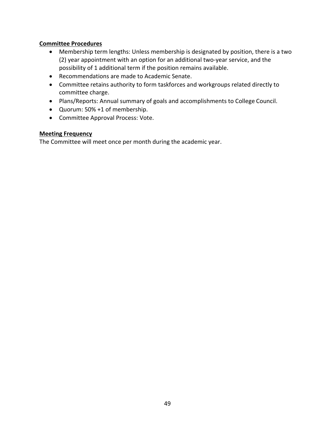- Membership term lengths: Unless membership is designated by position, there is a two (2) year appointment with an option for an additional two-year service, and the possibility of 1 additional term if the position remains available.
- Recommendations are made to Academic Senate.
- Committee retains authority to form taskforces and workgroups related directly to committee charge.
- Plans/Reports: Annual summary of goals and accomplishments to College Council.
- Quorum: 50% +1 of membership.
- Committee Approval Process: Vote.

#### **Meeting Frequency**

The Committee will meet once per month during the academic year.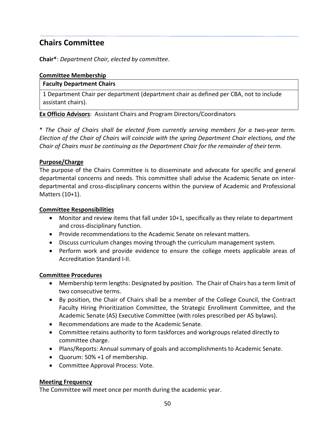## **Chairs Committee**

**Chair\***: *Department Chair, elected by committee*.

#### **Committee Membership**

#### **Faculty Department Chairs**

1 Department Chair per department (department chair as defined per CBA, not to include assistant chairs).

#### **Ex Officio Advisors**: Assistant Chairs and Program Directors/Coordinators

\* *The Chair of Chairs shall be elected from currently serving members for a two-year term. Election of the Chair of Chairs will coincide with the spring Department Chair elections, and the Chair of Chairs must be continuing as the Department Chair for the remainder of theirterm.*

#### **Purpose/Charge**

The purpose of the Chairs Committee is to disseminate and advocate for specific and general departmental concerns and needs. This committee shall advise the Academic Senate on interdepartmental and cross-disciplinary concerns within the purview of Academic and Professional Matters (10+1).

#### **Committee Responsibilities**

- Monitor and review items that fall under 10+1, specifically as they relate to department and cross-disciplinary function.
- Provide recommendations to the Academic Senate on relevant matters.
- Discuss curriculum changes moving through the curriculum management system.
- Perform work and provide evidence to ensure the college meets applicable areas of Accreditation Standard I-II.

#### **Committee Procedures**

- Membership term lengths: Designated by position. The Chair of Chairs has a term limit of two consecutive terms.
- By position, the Chair of Chairs shall be a member of the College Council, the Contract Faculty Hiring Prioritization Committee, the Strategic Enrollment Committee, and the Academic Senate (AS) Executive Committee (with roles prescribed per AS bylaws).
- Recommendations are made to the Academic Senate.
- Committee retains authority to form taskforces and workgroups related directly to committee charge.
- Plans/Reports: Annual summary of goals and accomplishments to Academic Senate.
- Quorum: 50% +1 of membership.
- Committee Approval Process: Vote.

#### **Meeting Frequency**

The Committee will meet once per month during the academic year.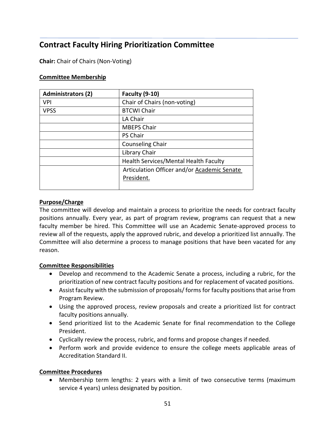## **Contract Faculty Hiring Prioritization Committee**

**Chair:** Chair of Chairs (Non-Voting)

### **Committee Membership**

| <b>Administrators (2)</b> | <b>Faculty (9-10)</b>                       |
|---------------------------|---------------------------------------------|
| <b>VPI</b>                | Chair of Chairs (non-voting)                |
| <b>VPSS</b>               | <b>BTCWI Chair</b>                          |
|                           | LA Chair                                    |
|                           | <b>MBEPS Chair</b>                          |
|                           | <b>PS Chair</b>                             |
|                           | <b>Counseling Chair</b>                     |
|                           | Library Chair                               |
|                           | Health Services/Mental Health Faculty       |
|                           | Articulation Officer and/or Academic Senate |
|                           | President.                                  |
|                           |                                             |

#### **Purpose/Charge**

The committee will develop and maintain a process to prioritize the needs for contract faculty positions annually. Every year, as part of program review, programs can request that a new faculty member be hired. This Committee will use an Academic Senate-approved process to review all of the requests, apply the approved rubric, and develop a prioritized list annually. The Committee will also determine a process to manage positions that have been vacated for any reason.

### **Committee Responsibilities**

- Develop and recommend to the Academic Senate a process, including a rubric, for the prioritization of new contract faculty positions and for replacement of vacated positions.
- Assist faculty with the submission of proposals/forms for faculty positions that arise from Program Review.
- Using the approved process, review proposals and create a prioritized list for contract faculty positions annually.
- Send prioritized list to the Academic Senate for final recommendation to the College President.
- Cyclically review the process, rubric, and forms and propose changes if needed.
- Perform work and provide evidence to ensure the college meets applicable areas of Accreditation Standard II.

### **Committee Procedures**

• Membership term lengths: 2 years with a limit of two consecutive terms (maximum service 4 years) unless designated by position.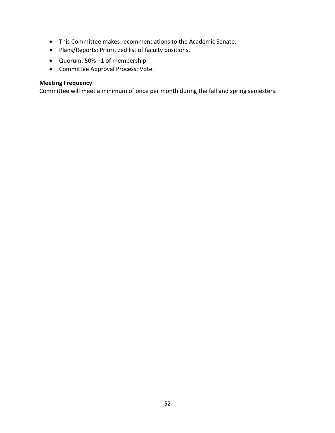- This Committee makes recommendations to the Academic Senate.
- Plans/Reports: Prioritized list of faculty positions.
- Quorum: 50% +1 of membership.
- Committee Approval Process: Vote.

#### **Meeting Frequency**

Committee will meet a minimum of once per month during the fall and spring semesters.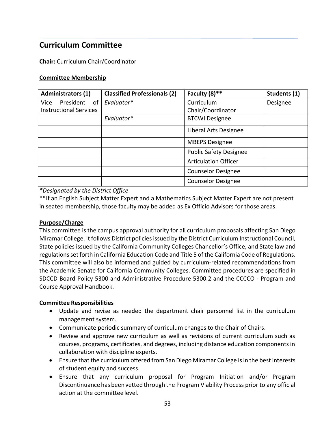## **Curriculum Committee**

**Chair:** Curriculum Chair/Coordinator

#### **Committee Membership**

| <b>Administrators (1)</b>     | <b>Classified Professionals (2)</b> | Faculty (8)**                 | Students (1) |
|-------------------------------|-------------------------------------|-------------------------------|--------------|
| President<br>of<br>Vice       | Evaluator*                          | Curriculum                    | Designee     |
| <b>Instructional Services</b> |                                     | Chair/Coordinator             |              |
|                               | Evaluator*                          | <b>BTCWI Designee</b>         |              |
|                               |                                     | Liberal Arts Designee         |              |
|                               |                                     | <b>MBEPS Designee</b>         |              |
|                               |                                     | <b>Public Safety Designee</b> |              |
|                               |                                     | <b>Articulation Officer</b>   |              |
|                               |                                     | <b>Counselor Designee</b>     |              |
|                               |                                     | <b>Counselor Designee</b>     |              |

*\*Designated by the District Office*

\*\*If an English Subject Matter Expert and a Mathematics Subject Matter Expert are not present in seated membership, those faculty may be added as Ex Officio Advisors for those areas.

#### **Purpose/Charge**

This committee is the campus approval authority for all curriculum proposals affecting San Diego Miramar College. It follows District policiesissued by the District Curriculum Instructional Council, State policies issued by the California Community Colleges Chancellor's Office, and State law and regulations set forth in California Education Code and Title 5 of the California Code of Regulations. This committee will also be informed and guided by curriculum-related recommendations from the Academic Senate for California Community Colleges. Committee procedures are specified in SDCCD Board Policy 5300 and Administrative Procedure 5300.2 and the CCCCO - Program and Course Approval Handbook.

- Update and revise as needed the department chair personnel list in the curriculum management system.
- Communicate periodic summary of curriculum changes to the Chair of Chairs.
- Review and approve new curriculum as well as revisions of current curriculum such as courses, programs, certificates, and degrees, including distance education components in collaboration with discipline experts.
- Ensure that the curriculum offered from San Diego Miramar College is in the best interests of student equity and success.
- Ensure that any curriculum proposal for Program Initiation and/or Program Discontinuance has been vetted through the Program Viability Process prior to any official action at the committee level.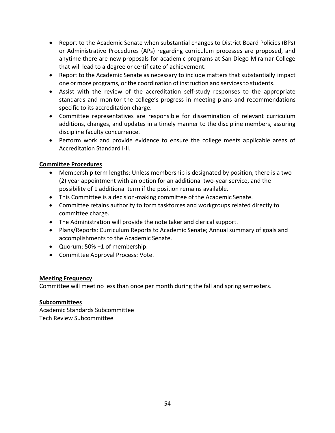- Report to the Academic Senate when substantial changes to District Board Policies (BPs) or Administrative Procedures (APs) regarding curriculum processes are proposed, and anytime there are new proposals for academic programs at San Diego Miramar College that will lead to a degree or certificate of achievement.
- Report to the Academic Senate as necessary to include matters that substantially impact one or more programs, or the coordination of instruction and services to students.
- Assist with the review of the accreditation self-study responses to the appropriate standards and monitor the college's progress in meeting plans and recommendations specific to its accreditation charge.
- Committee representatives are responsible for dissemination of relevant curriculum additions, changes, and updates in a timely manner to the discipline members, assuring discipline faculty concurrence.
- Perform work and provide evidence to ensure the college meets applicable areas of Accreditation Standard I-II.

- Membership term lengths: Unless membership is designated by position, there is a two (2) year appointment with an option for an additional two-year service, and the possibility of 1 additional term if the position remains available.
- This Committee is a decision-making committee of the Academic Senate.
- Committee retains authority to form taskforces and workgroups related directly to committee charge.
- The Administration will provide the note taker and clerical support.
- Plans/Reports: Curriculum Reports to Academic Senate; Annual summary of goals and accomplishments to the Academic Senate.
- Quorum: 50% +1 of membership.
- Committee Approval Process: Vote.

### **Meeting Frequency**

Committee will meet no less than once per month during the fall and spring semesters.

### **Subcommittees**

Academic Standards Subcommittee Tech Review Subcommittee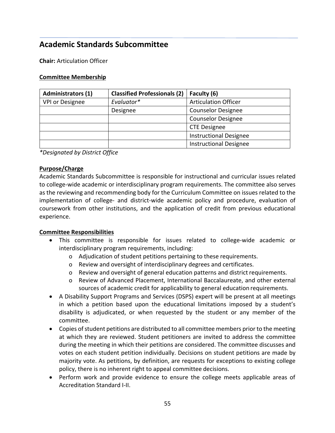## **Academic Standards Subcommittee**

**Chair:** Articulation Officer

#### **Committee Membership**

| <b>Administrators (1)</b> | <b>Classified Professionals (2)</b> | Faculty (6)                   |
|---------------------------|-------------------------------------|-------------------------------|
| VPI or Designee           | Evaluator*                          | <b>Articulation Officer</b>   |
|                           | Designee                            | <b>Counselor Designee</b>     |
|                           |                                     | <b>Counselor Designee</b>     |
|                           |                                     | <b>CTE Designee</b>           |
|                           |                                     | <b>Instructional Designee</b> |
|                           |                                     | <b>Instructional Designee</b> |

*\*Designated by District Office*

#### **Purpose/Charge**

Academic Standards Subcommittee is responsible for instructional and curricular issues related to college-wide academic or interdisciplinary program requirements. The committee also serves as the reviewing and recommending body for the Curriculum Committee on issues related to the implementation of college- and district-wide academic policy and procedure, evaluation of coursework from other institutions, and the application of credit from previous educational experience.

- This committee is responsible for issues related to college-wide academic or interdisciplinary program requirements, including:
	- o Adjudication of student petitions pertaining to these requirements.
	- o Review and oversight of interdisciplinary degrees and certificates.
	- o Review and oversight of general education patterns and district requirements.
	- o Review of Advanced Placement, International Baccalaureate, and other external sources of academic credit for applicability to general education requirements.
- A Disability Support Programs and Services (DSPS) expert will be present at all meetings in which a petition based upon the educational limitations imposed by a student's disability is adjudicated, or when requested by the student or any member of the committee.
- Copies of student petitions are distributed to all committee members prior to the meeting at which they are reviewed. Student petitioners are invited to address the committee during the meeting in which their petitions are considered. The committee discusses and votes on each student petition individually. Decisions on student petitions are made by majority vote. As petitions, by definition, are requests for exceptions to existing college policy, there is no inherent right to appeal committee decisions.
- Perform work and provide evidence to ensure the college meets applicable areas of Accreditation Standard I-II.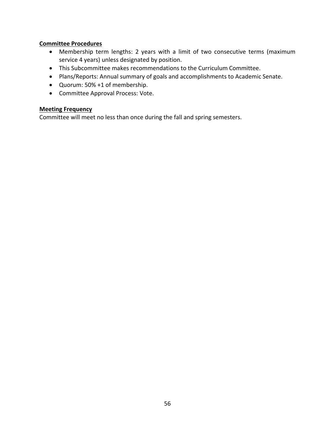- Membership term lengths: 2 years with a limit of two consecutive terms (maximum service 4 years) unless designated by position.
- This Subcommittee makes recommendations to the Curriculum Committee.
- Plans/Reports: Annual summary of goals and accomplishments to Academic Senate.
- Quorum: 50% +1 of membership.
- Committee Approval Process: Vote.

#### **Meeting Frequency**

Committee will meet no less than once during the fall and spring semesters.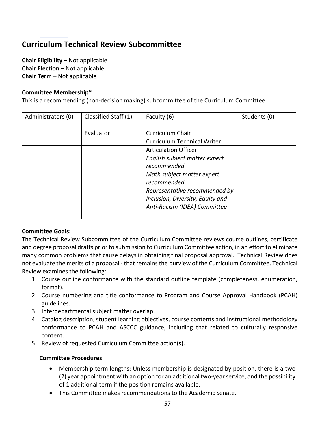## **Curriculum Technical Review Subcommittee**

**Chair Eligibility** – Not applicable **Chair Election** – Not applicable **Chair Term** – Not applicable

#### **Committee Membership\***

This is a recommending (non-decision making) subcommittee of the Curriculum Committee.

| Administrators (0) | Classified Staff (1) | Faculty (6)                        | Students (0) |
|--------------------|----------------------|------------------------------------|--------------|
|                    |                      |                                    |              |
|                    | Evaluator            | Curriculum Chair                   |              |
|                    |                      | <b>Curriculum Technical Writer</b> |              |
|                    |                      | <b>Articulation Officer</b>        |              |
|                    |                      | English subject matter expert      |              |
|                    |                      | recommended                        |              |
|                    |                      | Math subject matter expert         |              |
|                    |                      | recommended                        |              |
|                    |                      | Representative recommended by      |              |
|                    |                      | Inclusion, Diversity, Equity and   |              |
|                    |                      | Anti-Racism (IDEA) Committee       |              |
|                    |                      |                                    |              |

#### **Committee Goals:**

The Technical Review Subcommittee of the Curriculum Committee reviews course outlines, certificate and degree proposal drafts prior to submission to Curriculum Committee action, in an effort to eliminate many common problems that cause delays in obtaining final proposal approval. Technical Review does not evaluate the merits of a proposal - that remains the purview of the Curriculum Committee. Technical Review examines the following:

- 1. Course outline conformance with the standard outline template (completeness, enumeration, format).
- 2. Course numbering and title conformance to Program and Course Approval Handbook (PCAH) guidelines.
- 3. Interdepartmental subject matter overlap.
- 4. Catalog description, student learning objectives, course contents and instructional methodology conformance to PCAH and ASCCC guidance, including that related to culturally responsive content.
- 5. Review of requested Curriculum Committee action(s).

#### **Committee Procedures**

- Membership term lengths: Unless membership is designated by position, there is a two (2) year appointment with an option for an additional two-year service, and the possibility of 1 additional term if the position remains available.
- This Committee makes recommendations to the Academic Senate.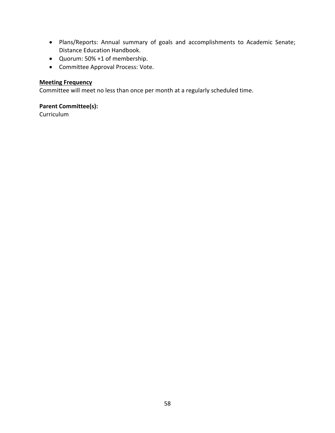- Plans/Reports: Annual summary of goals and accomplishments to Academic Senate; Distance Education Handbook.
- Quorum: 50% +1 of membership.
- Committee Approval Process: Vote.

#### **Meeting Frequency**

Committee will meet no less than once per month at a regularly scheduled time.

#### **Parent Committee(s):**

Curriculum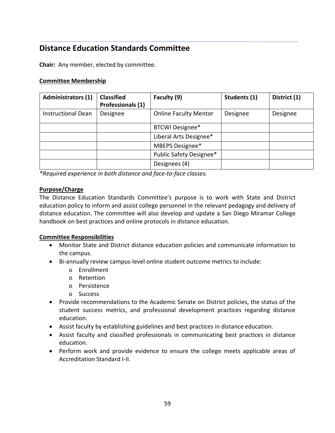### **Distance Education Standards Committee**

**Chair:** Any member, elected by committee.

#### **Committee Membership**

| <b>Administrators (1)</b> | <b>Classified</b><br>Professionals (1) | Faculty (9)                  | Students (1) | District (1) |
|---------------------------|----------------------------------------|------------------------------|--------------|--------------|
| <b>Instructional Dean</b> | Designee                               | <b>Online Faculty Mentor</b> | Designee     | Designee     |
|                           |                                        | <b>BTCWI Designee*</b>       |              |              |
|                           |                                        | Liberal Arts Designee*       |              |              |
|                           |                                        | MBEPS Designee*              |              |              |
|                           |                                        | Public Safety Designee*      |              |              |
|                           |                                        | Designees (4)                |              |              |

*\*Required experience in both distance and face-to-face classes.*

#### **Purpose/Charge**

The Distance Education Standards Committee's purpose is to work with State and District education policy to inform and assist college personnel in the relevant pedagogy and delivery of distance education. The committee will also develop and update a San Diego Miramar College handbook on best practices and online protocols in distance education.

- Monitor State and District distance education policies and communicate information to the campus.
- Bi-annually review campus-level online student outcome metrics to include:
	- o Enrollment
	- o Retention
	- o Persistence
	- o Success
- Provide recommendations to the Academic Senate on District policies, the status of the student success metrics, and professional development practices regarding distance education.
- Assist faculty by establishing guidelines and best practices in distance education.
- Assist faculty and classified professionals in communicating best practices in distance education.
- Perform work and provide evidence to ensure the college meets applicable areas of Accreditation Standard I-II.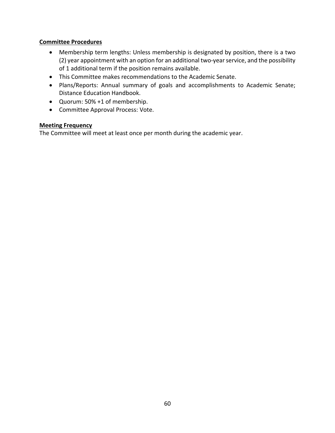- Membership term lengths: Unless membership is designated by position, there is a two (2) year appointment with an option for an additional two-year service, and the possibility of 1 additional term if the position remains available.
- This Committee makes recommendations to the Academic Senate.
- Plans/Reports: Annual summary of goals and accomplishments to Academic Senate; Distance Education Handbook.
- Quorum: 50% +1 of membership.
- Committee Approval Process: Vote.

#### **Meeting Frequency**

The Committee will meet at least once per month during the academic year.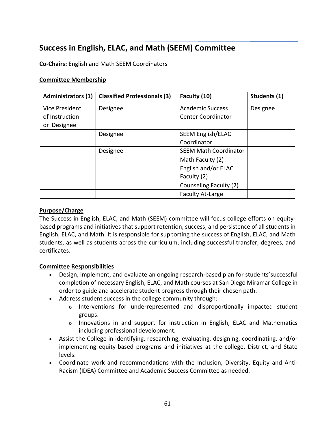## **Success in English, ELAC, and Math (SEEM) Committee**

**Co-Chairs:** English and Math SEEM Coordinators

#### **Committee Membership**

| <b>Administrators (1)</b> | <b>Classified Professionals (3)</b> | Faculty (10)                 | Students (1) |
|---------------------------|-------------------------------------|------------------------------|--------------|
| Vice President            | Designee                            | <b>Academic Success</b>      | Designee     |
| of Instruction            |                                     | <b>Center Coordinator</b>    |              |
| Designee<br>or            |                                     |                              |              |
|                           | Designee                            | <b>SEEM English/ELAC</b>     |              |
|                           |                                     | Coordinator                  |              |
|                           | Designee                            | <b>SEEM Math Coordinator</b> |              |
|                           |                                     | Math Faculty (2)             |              |
|                           |                                     | English and/or ELAC          |              |
|                           |                                     | Faculty (2)                  |              |
|                           |                                     | Counseling Faculty (2)       |              |
|                           |                                     | <b>Faculty At-Large</b>      |              |

#### **Purpose/Charge**

The Success in English, ELAC, and Math (SEEM) committee will focus college efforts on equitybased programs and initiatives that support retention, success, and persistence of all students in English, ELAC, and Math. It is responsible for supporting the success of English, ELAC, and Math students, as well as students across the curriculum, including successful transfer, degrees, and certificates.

- Design, implement, and evaluate an ongoing research-based plan for students'successful completion of necessary English, ELAC, and Math courses at San Diego Miramar College in order to guide and accelerate student progress through their chosen path.
- Address student success in the college community through:
	- o Interventions for underrepresented and disproportionally impacted student groups.
	- o Innovations in and support for instruction in English, ELAC and Mathematics including professional development.
- Assist the College in identifying, researching, evaluating, designing, coordinating, and/or implementing equity-based programs and initiatives at the college, District, and State levels.
- Coordinate work and recommendations with the Inclusion, Diversity, Equity and Anti-Racism (IDEA) Committee and Academic Success Committee as needed.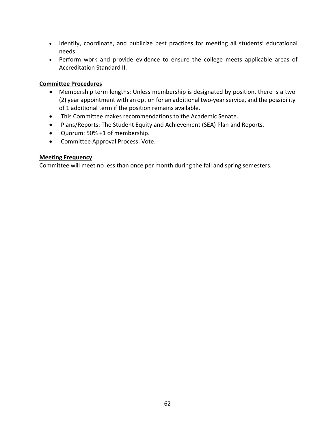- Identify, coordinate, and publicize best practices for meeting all students' educational needs.
- Perform work and provide evidence to ensure the college meets applicable areas of Accreditation Standard II.

- Membership term lengths: Unless membership is designated by position, there is a two (2) year appointment with an option for an additional two-year service, and the possibility of 1 additional term if the position remains available.
- This Committee makes recommendations to the Academic Senate.
- Plans/Reports: The Student Equity and Achievement (SEA) Plan and Reports.
- Quorum: 50% +1 of membership.
- Committee Approval Process: Vote.

#### **Meeting Frequency**

Committee will meet no less than once per month during the fall and spring semesters.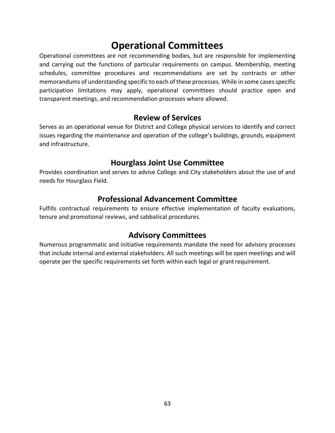# **Operational Committees**

Operational committees are not recommending bodies, but are responsible for implementing and carrying out the functions of particular requirements on campus. Membership, meeting schedules, committee procedures and recommendations are set by contracts or other memorandums of understanding specific to each of these processes. While in some cases specific participation limitations may apply, operational committees should practice open and transparent meetings, and recommendation processes where allowed.

### **Review of Services**

Serves as an operational venue for District and College physical services to identify and correct issues regarding the maintenance and operation of the college's buildings, grounds, equipment and infrastructure.

### **Hourglass Joint Use Committee**

Provides coordination and serves to advise College and City stakeholders about the use of and needs for Hourglass Field.

### **Professional Advancement Committee**

Fulfills contractual requirements to ensure effective implementation of faculty evaluations, tenure and promotional reviews, and sabbatical procedures.

### **Advisory Committees**

Numerous programmatic and initiative requirements mandate the need for advisory processes that include internal and external stakeholders. All such meetings will be open meetings and will operate per the specific requirements set forth within each legal or grantrequirement.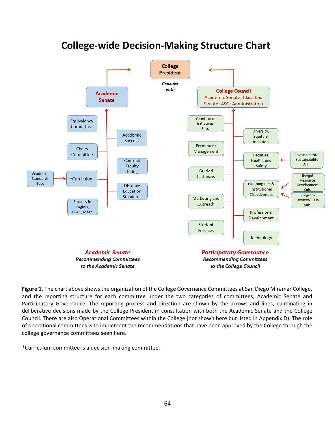

# **College-wide Decision-Making Structure Chart**

**Figure 1.** The chart above shows the organization of the College Governance Committees at San Diego Miramar College, and the reporting structure for each committee under the two categories of committees; Academic Senate and Participatory Governance. The reporting process and direction are shown by the arrows and lines, culminating in deliberative decisions made by the College President in consultation with both the Academic Senate and the College Council. There are also Operational Committees within the College (not shown here but listed in Appendix D). The role of operational committees is to implement the recommendations that have been approved by the College through the college governance committees seen here.

\*Curriculum committee is a decision-making committee.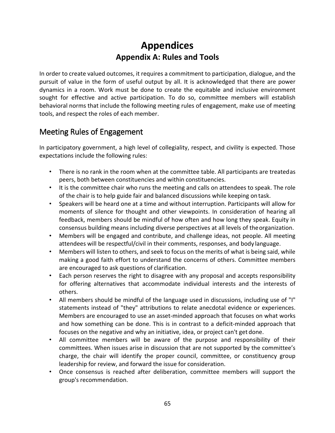# **Appendices Appendix A: Rules and Tools**

In order to create valued outcomes, it requires a commitment to participation, dialogue, and the pursuit of value in the form of useful output by all. It is acknowledged that there are power dynamics in a room. Work must be done to create the equitable and inclusive environment sought for effective and active participation. To do so, committee members will establish behavioral norms that include the following meeting rules of engagement, make use of meeting tools, and respect the roles of each member.

## Meeting Rules of Engagement

In participatory government, a high level of collegiality, respect, and civility is expected. Those expectations include the following rules:

- There is no rank in the room when at the committee table. All participants are treatedas peers, both between constituencies and within constituencies.
- It is the committee chair who runs the meeting and calls on attendees to speak. The role of the chair is to help guide fair and balanced discussions while keeping on task.
- Speakers will be heard one at a time and without interruption. Participants will allow for moments of silence for thought and other viewpoints. In consideration of hearing all feedback, members should be mindful of how often and how long they speak. Equity in consensus building means including diverse perspectives at all levels of theorganization.
- Members will be engaged and contribute, and challenge ideas, not people. All meeting attendees will be respectful/civil in their comments, responses, and body language.
- Members will listen to others, and seek to focus on the merits of what is being said, while making a good faith effort to understand the concerns of others. Committee members are encouraged to ask questions of clarification.
- Each person reserves the right to disagree with any proposal and accepts responsibility for offering alternatives that accommodate individual interests and the interests of others.
- All members should be mindful of the language used in discussions, including use of "I" statements instead of "they" attributions to relate anecdotal evidence or experiences. Members are encouraged to use an asset-minded approach that focuses on what works and how something can be done. This is in contrast to a deficit-minded approach that focuses on the negative and why an initiative, idea, or project can't get done.
- All committee members will be aware of the purpose and responsibility of their committees. When issues arise in discussion that are not supported by the committee's charge, the chair will identify the proper council, committee, or constituency group leadership for review, and forward the issue for consideration.
- Once consensus is reached after deliberation, committee members will support the group's recommendation.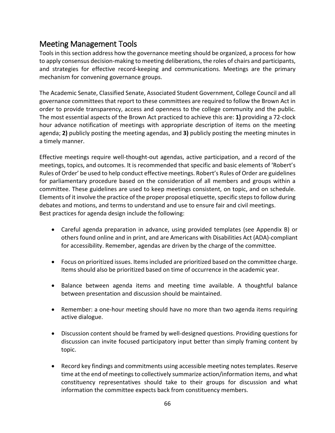## Meeting Management Tools

Tools in this section address how the governance meeting should be organized, a process for how to apply consensus decision-making to meeting deliberations, the roles of chairs and participants, and strategies for effective record-keeping and communications. Meetings are the primary mechanism for convening governance groups.

The Academic Senate, Classified Senate, Associated Student Government, College Council and all governance committees that report to these committees are required to follow the Brown Act in order to provide transparency, access and openness to the college community and the public. The most essential aspects of the Brown Act practiced to achieve this are: **1)** providing a 72-clock hour advance notification of meetings with appropriate description of items on the meeting agenda; **2)** publicly posting the meeting agendas, and **3)** publicly posting the meeting minutes in a timely manner.

Effective meetings require well-thought-out agendas, active participation, and a record of the meetings, topics, and outcomes. It is recommended that specific and basic elements of 'Robert's Rules of Order' be used to help conduct effective meetings. Robert's Rules of Order are guidelines for parliamentary procedure based on the consideration of all members and groups within a committee. These guidelines are used to keep meetings consistent, on topic, and on schedule. Elements of it involve the practice of the proper proposal etiquette, specific steps to follow during debates and motions, and terms to understand and use to ensure fair and civil meetings. Best practices for agenda design include the following:

- Careful agenda preparation in advance, using provided templates (see Appendix B) or others found online and in print, and are Americans with Disabilities Act (ADA)-compliant for accessibility. Remember, agendas are driven by the charge of the committee.
- Focus on prioritized issues. Items included are prioritized based on the committee charge. Items should also be prioritized based on time of occurrence in the academic year.
- Balance between agenda items and meeting time available. A thoughtful balance between presentation and discussion should be maintained.
- Remember: a one-hour meeting should have no more than two agenda items requiring active dialogue.
- Discussion content should be framed by well-designed questions. Providing questions for discussion can invite focused participatory input better than simply framing content by topic.
- Record key findings and commitments using accessible meeting notestemplates. Reserve time at the end of meetings to collectively summarize action/information items, and what constituency representatives should take to their groups for discussion and what information the committee expects back from constituency members.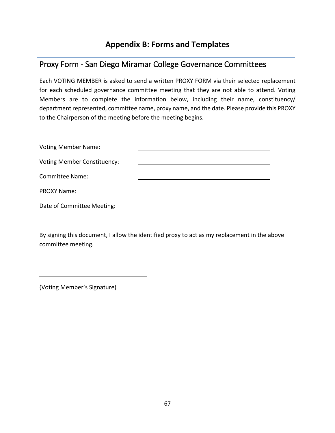## **Appendix B: Forms and Templates**

### Proxy Form - San Diego Miramar College Governance Committees

Each VOTING MEMBER is asked to send a written PROXY FORM via their selected replacement for each scheduled governance committee meeting that they are not able to attend. Voting Members are to complete the information below, including their name, constituency/ department represented, committee name, proxy name, and the date. Please provide this PROXY to the Chairperson of the meeting before the meeting begins.

| <b>Voting Member Name:</b>         |  |
|------------------------------------|--|
| <b>Voting Member Constituency:</b> |  |
| <b>Committee Name:</b>             |  |
| <b>PROXY Name:</b>                 |  |
| Date of Committee Meeting:         |  |

By signing this document, I allow the identified proxy to act as my replacement in the above committee meeting.

(Voting Member's Signature)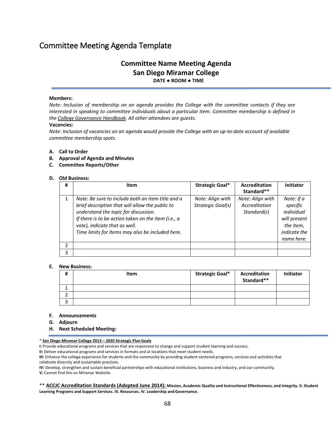## Committee Meeting Agenda Template

### **Committee Name Meeting Agenda San Diego Miramar College DATE ● ROOM ● TIME**

#### **Members:**

*Note: Inclusion of membership on an agenda provides the College with the committee contacts if they are interested in speaking to committee individuals about a particular item. Committee membership is defined in th[e College Governance Handbook.](http://www.sdmiramar.edu/webfm_send/15589) All other attendees are guests.*

#### **Vacancies:**

*Note: Inclusion of vacancies on an agenda would provide the College with an up-to-date account of available committee membership spots.*

#### **A. Call to Order**

- **B. Approval of Agenda and Minutes**
- **C. Committee Reports/Other**

#### **D. Old Business:**

| # | <b>Item</b>                                                                                                                                                                                                                                                                              | Strategic Goal*                       | Accreditation<br>Standard**                      | <b>Initiator</b>                                                                                |
|---|------------------------------------------------------------------------------------------------------------------------------------------------------------------------------------------------------------------------------------------------------------------------------------------|---------------------------------------|--------------------------------------------------|-------------------------------------------------------------------------------------------------|
|   | Note: Be sure to include both an item title and a<br>brief description that will allow the public to<br>understand the topic for discussion.<br>If there is to be action taken on the item (i.e., a<br>vote), indicate that as well.<br>Time limits for items may also be included here. | Note: Align with<br>Strategic Goal(s) | Note: Align with<br>Accreditation<br>Standard(s) | Note: If a<br>specific<br>individual<br>will present<br>the item,<br>indicate the<br>name here. |
| 2 |                                                                                                                                                                                                                                                                                          |                                       |                                                  |                                                                                                 |
| 3 |                                                                                                                                                                                                                                                                                          |                                       |                                                  |                                                                                                 |

#### **E. New Business:**

| # | Item | <b>Strategic Goal*</b> | <b>Accreditation</b><br>Standard** | <b>Initiator</b> |
|---|------|------------------------|------------------------------------|------------------|
|   |      |                        |                                    |                  |
|   |      |                        |                                    |                  |
|   |      |                        |                                    |                  |

#### **F. Announcements**

- **G. Adjourn**
- **H. Next Scheduled Meeting:**

\* **[San Diego Miramar College 2013 – 2020 Strategic Plan](http://www.sdmiramar.edu/webfm_send/16106) Goals**

**I:** Provide educational programs and services that are responsive to change and support student learning and success.

**II:** Deliver educational programs and services in formats and at locations that meet student needs.

**III:** Enhance the college experience for students and the community by providing student-centered programs, services and activities that celebrate diversity and sustainable practices.

**IV:** Develop, strengthen and sustain beneficial partnerships with educational institutions, business and industry, and our community. **V:** Cannot find this on Miramar Website.

\*\* **[ACCJC Accreditation Standards \(Adopted June 2014\):](http://www.sdmiramar.edu/evidence/San%20Diego%20Miramar%20College%20SER%20Online.pdf) Mission, Academic Quality and Instructional Effectiveness, and Integrity. II. Student Learning Programs and Support Services. III. Resources. IV. Leadership and Governance.**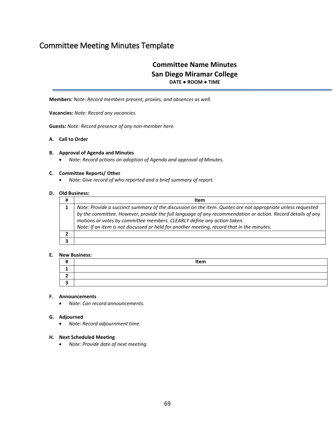## Committee Meeting Minutes Template

### **Committee Name Minutes San Diego Miramar College DATE ● ROOM ● TIME**

**Members:** *Note: Record members present, proxies, and absences as well.*

**Vacancies:** *Note: Record any vacancies.*

**Guests:** *Note: Record presence of any non-member here.*

#### **A. Call to Order**

#### **B. Approval of Agenda and Minutes**

• *Note: Record actions on adoption of Agenda and approval of Minutes.*

#### **C. Committee Reports/ Other**

• *Note: Give record of who reported and a brief summary of report.*

#### **D. Old Business:**

| <b>Item</b>                                                                                                                                                                                                                                                                                                                                                                                         |  |
|-----------------------------------------------------------------------------------------------------------------------------------------------------------------------------------------------------------------------------------------------------------------------------------------------------------------------------------------------------------------------------------------------------|--|
| Note: Provide a succinct summary of the discussion on the item. Quotes are not appropriate unless requested<br>by the committee. However, provide the full language of any recommendation or action. Record details of any<br>motions or votes by committee members. CLEARLY define any action taken.<br>Note: If an item is not discussed or held for another meeting, record that in the minutes. |  |
|                                                                                                                                                                                                                                                                                                                                                                                                     |  |
|                                                                                                                                                                                                                                                                                                                                                                                                     |  |

#### **E. New Business:**

| <br>π | Item |
|-------|------|
| --    |      |
| -     |      |
|       |      |

#### **F. Announcements**

• *Note: Can record announcements.*

#### **G. Adjourned**

• *Note: Record adjournment time.*

#### **H. Next Scheduled Meeting**

• *Note: Provide date of next meeting.*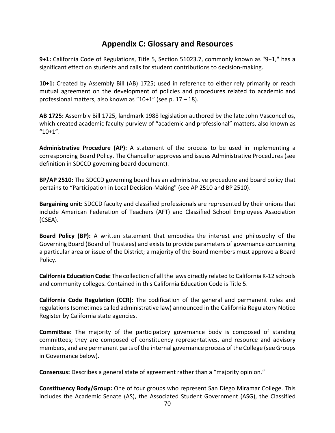### **Appendix C: Glossary and Resources**

**9+1:** California Code of Regulations, Title 5, Section 51023.7, commonly known as "9+1," has a significant effect on students and calls for student contributions to decision-making.

**10+1:** Created by Assembly Bill (AB) 1725; used in reference to either rely primarily or reach mutual agreement on the development of policies and procedures related to academic and professional matters, also known as "10+1" (see p.  $17 - 18$ ).

**AB 1725:** Assembly Bill 1725, landmark 1988 legislation authored by the late John Vasconcellos, which created academic faculty purview of "academic and professional" matters, also known as  $"10+1"$ .

**Administrative Procedure (AP):** A statement of the process to be used in implementing a corresponding Board Policy. The Chancellor approves and issues Administrative Procedures (see definition in SDCCD governing board document).

**BP/AP 2510:** The SDCCD governing board has an administrative procedure and board policy that pertains to "Participation in Local Decision-Making" (see AP 2510 and BP 2510).

**Bargaining unit:** SDCCD faculty and classified professionals are represented by their unions that include American Federation of Teachers (AFT) and Classified School Employees Association (CSEA).

**Board Policy (BP):** A written statement that embodies the interest and philosophy of the Governing Board (Board of Trustees) and exists to provide parameters of governance concerning a particular area or issue of the District; a majority of the Board members must approve a Board Policy.

**California Education Code:** The collection of all the laws directly related to California K-12 schools and community colleges. Contained in this California Education Code is Title 5.

**California Code Regulation (CCR):** The codification of the general and permanent rules and regulations (sometimes called administrative law) announced in the California Regulatory Notice Register by California state agencies.

**Committee:** The majority of the participatory governance body is composed of standing committees; they are composed of constituency representatives, and resource and advisory members, and are permanent parts of the internal governance process of the College (see Groups in Governance below).

**Consensus:** Describes a general state of agreement rather than a "majority opinion."

**Constituency Body/Group:** One of four groups who represent San Diego Miramar College. This includes the Academic Senate (AS), the Associated Student Government (ASG), the Classified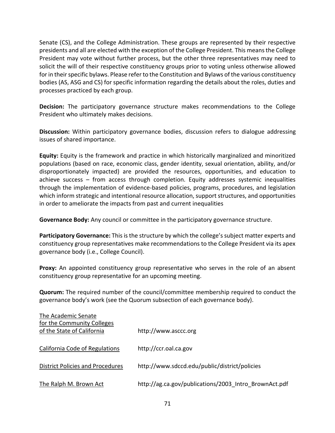Senate (CS), and the College Administration. These groups are represented by their respective presidents and all are elected with the exception of the College President. This means the College President may vote without further process, but the other three representatives may need to solicit the will of their respective constituency groups prior to voting unless otherwise allowed for in their specific bylaws. Please refer to the Constitution and Bylaws of the various constituency bodies (AS, ASG and CS) for specific information regarding the details about the roles, duties and processes practiced by each group.

**Decision:** The participatory governance structure makes recommendations to the College President who ultimately makes decisions.

**Discussion:** Within participatory governance bodies, discussion refers to dialogue addressing issues of shared importance.

**Equity:** Equity is the framework and practice in which historically marginalized and minoritized populations (based on race, economic class, gender identity, sexual orientation, ability, and/or disproportionately impacted) are provided the resources, opportunities, and education to achieve success – from access through completion. Equity addresses systemic inequalities through the implementation of evidence-based policies, programs, procedures, and legislation which inform strategic and intentional resource allocation, support structures, and opportunities in order to ameliorate the impacts from past and current inequalities

**Governance Body:** Any council or committee in the participatory governance structure.

**Participatory Governance:** This is the structure by which the college's subject matter experts and constituency group representatives make recommendations to the College President via its apex governance body (i.e., College Council).

**Proxy:** An appointed constituency group representative who serves in the role of an absent constituency group representative for an upcoming meeting.

**Quorum:** The required number of the council/committee membership required to conduct the governance body's work (see the Quorum subsection of each governance body).

| The Academic Senate                                      |                                                       |
|----------------------------------------------------------|-------------------------------------------------------|
| for the Community Colleges<br>of the State of California | http://www.asccc.org                                  |
| California Code of Regulations                           | http://ccr.oal.ca.gov                                 |
| <b>District Policies and Procedures</b>                  | http://www.sdccd.edu/public/district/policies         |
| The Ralph M. Brown Act                                   | http://ag.ca.gov/publications/2003 Intro BrownAct.pdf |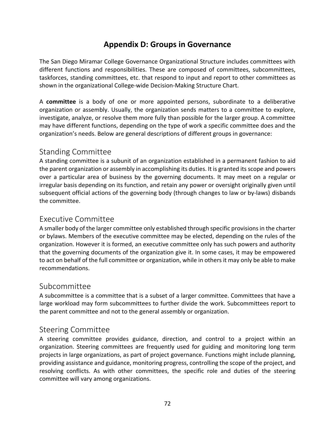## **Appendix D: Groups in Governance**

The San Diego Miramar College Governance Organizational Structure includes committees with different functions and responsibilities. These are composed of committees, subcommittees, taskforces, standing committees, etc. that respond to input and report to other committees as shown in the organizational College-wide Decision-Making Structure Chart.

A **committee** is a body of one or more appointed persons, subordinate to a deliberative organization or assembly. Usually, the organization sends matters to a committee to explore, investigate, analyze, or resolve them more fully than possible for the larger group. A committee may have different functions, depending on the type of work a specific committee does and the organization's needs. Below are general descriptions of different groups in governance:

### Standing Committee

A standing committee is a subunit of an organization established in a permanent fashion to aid the parent organization or assembly in accomplishing its duties. It is granted itsscope and powers over a particular area of business by the governing documents. It may meet on a regular or irregular basis depending on its function, and retain any power or oversight originally given until subsequent official actions of the governing body (through changes to law or by-laws) disbands the committee.

### Executive Committee

A smaller body of the larger committee only established through specific provisionsin the charter or bylaws. Members of the executive committee may be elected, depending on the rules of the organization. However it is formed, an executive committee only has such powers and authority that the governing documents of the organization give it. In some cases, it may be empowered to act on behalf of the full committee or organization, while in othersit may only be able to make recommendations.

### Subcommittee

A subcommittee is a committee that is a subset of a larger committee. Committees that have a large workload may form subcommittees to further divide the work. Subcommittees report to the parent committee and not to the general assembly or organization.

### Steering Committee

A steering committee provides guidance, direction, and control to a project within an organization. Steering committees are frequently used for guiding and monitoring long term projects in large organizations, as part of project governance. Functions might include planning, providing assistance and guidance, monitoring progress, controlling the scope of the project, and resolving conflicts. As with other committees, the specific role and duties of the steering committee will vary among organizations.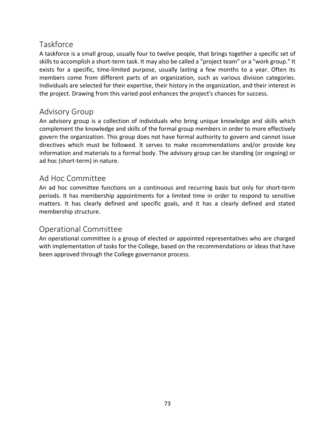## Taskforce

A taskforce is a small group, usually four to twelve people, that brings together a specific set of skills to accomplish a short-term task. It may also be called a "project team" or a "work group." It exists for a specific, time-limited purpose, usually lasting a few months to a year. Often its members come from different parts of an organization, such as various division categories. Individuals are selected for their expertise, their history in the organization, and their interest in the project. Drawing from this varied pool enhances the project's chances for success.

## Advisory Group

An advisory group is a collection of individuals who bring unique knowledge and skills which complement the knowledge and skills of the formal group members in order to more effectively govern the organization. This group does not have formal authority to govern and cannot issue directives which must be followed. It serves to make recommendations and/or provide key information and materials to a formal body. The advisory group can be standing (or ongoing) or ad hoc (short-term) in nature.

## Ad Hoc Committee

An ad hoc committee functions on a continuous and recurring basis but only for short-term periods. It has membership appointments for a limited time in order to respond to sensitive matters. It has clearly defined and specific goals, and it has a clearly defined and stated membership structure.

# Operational Committee

An operational committee is a group of elected or appointed representatives who are charged with implementation of tasks for the College, based on the recommendations or ideas that have been approved through the College governance process.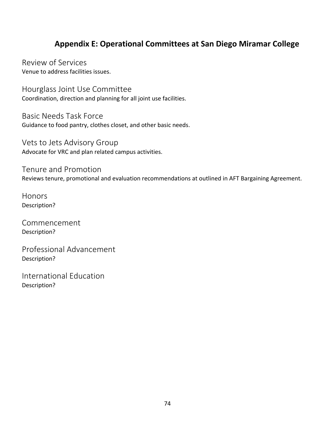# **Appendix E: Operational Committees at San Diego Miramar College**

Review of Services Venue to address facilities issues.

Hourglass Joint Use Committee Coordination, direction and planning for all joint use facilities.

Basic Needs Task Force Guidance to food pantry, clothes closet, and other basic needs.

Vets to Jets Advisory Group Advocate for VRC and plan related campus activities.

Tenure and Promotion Reviews tenure, promotional and evaluation recommendations at outlined in AFT Bargaining Agreement.

**Honors** Description?

Commencement Description?

Professional Advancement Description?

International Education Description?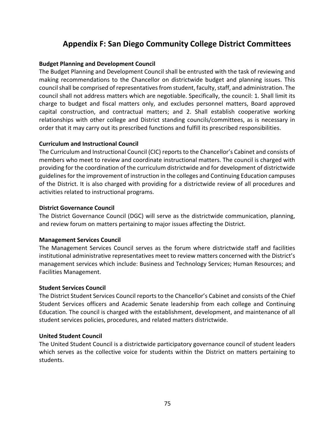# **Appendix F: San Diego Community College District Committees**

## **Budget Planning and Development Council**

The Budget Planning and Development Council shall be entrusted with the task of reviewing and making recommendations to the Chancellor on districtwide budget and planning issues. This council shall be comprised of representatives from student, faculty, staff, and administration. The council shall not address matters which are negotiable. Specifically, the council: 1. Shall limit its charge to budget and fiscal matters only, and excludes personnel matters, Board approved capital construction, and contractual matters; and 2. Shall establish cooperative working relationships with other college and District standing councils/committees, as is necessary in order that it may carry out its prescribed functions and fulfill its prescribed responsibilities.

## **Curriculum and Instructional Council**

The Curriculum and Instructional Council (CIC) reports to the Chancellor's Cabinet and consists of members who meet to review and coordinate instructional matters. The council is charged with providing for the coordination of the curriculum districtwide and for development of districtwide guidelines for the improvement of instruction in the colleges and Continuing Education campuses of the District. It is also charged with providing for a districtwide review of all procedures and activities related to instructional programs.

## **District Governance Council**

The District Governance Council (DGC) will serve as the districtwide communication, planning, and review forum on matters pertaining to major issues affecting the District.

## **Management Services Council**

The Management Services Council serves as the forum where districtwide staff and facilities institutional administrative representatives meet to review matters concerned with the District's management services which include: Business and Technology Services; Human Resources; and Facilities Management.

## **Student Services Council**

The District Student Services Council reports to the Chancellor's Cabinet and consists of the Chief Student Services officers and Academic Senate leadership from each college and Continuing Education. The council is charged with the establishment, development, and maintenance of all student services policies, procedures, and related matters districtwide.

## **United Student Council**

The United Student Council is a districtwide participatory governance council of student leaders which serves as the collective voice for students within the District on matters pertaining to students.